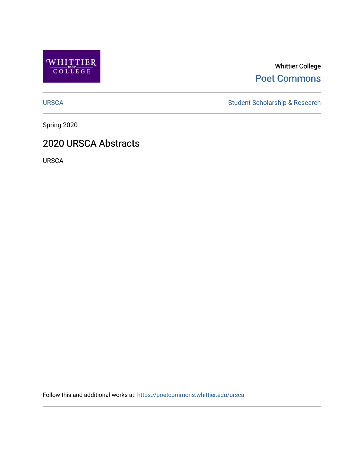

Whittier College [Poet Commons](https://poetcommons.whittier.edu/) 

[URSCA](https://poetcommons.whittier.edu/ursca) Student Scholarship & Research

Spring 2020

## 2020 URSCA Abstracts

URSCA

Follow this and additional works at: [https://poetcommons.whittier.edu/ursca](https://poetcommons.whittier.edu/ursca?utm_source=poetcommons.whittier.edu%2Fursca%2F7&utm_medium=PDF&utm_campaign=PDFCoverPages)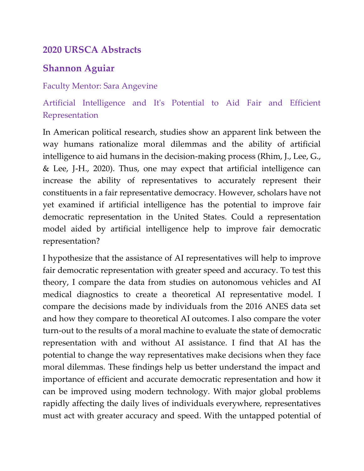## **2020 URSCA Abstracts**

# **Shannon Aguiar**

## Faculty Mentor: Sara Angevine

Artificial Intelligence and It's Potential to Aid Fair and Efficient Representation

In American political research, studies show an apparent link between the way humans rationalize moral dilemmas and the ability of artificial intelligence to aid humans in the decision-making process (Rhim, J., Lee, G., & Lee, J-H., 2020). Thus, one may expect that artificial intelligence can increase the ability of representatives to accurately represent their constituents in a fair representative democracy. However, scholars have not yet examined if artificial intelligence has the potential to improve fair democratic representation in the United States. Could a representation model aided by artificial intelligence help to improve fair democratic representation?

I hypothesize that the assistance of AI representatives will help to improve fair democratic representation with greater speed and accuracy. To test this theory, I compare the data from studies on autonomous vehicles and AI medical diagnostics to create a theoretical AI representative model. I compare the decisions made by individuals from the 2016 ANES data set and how they compare to theoretical AI outcomes. I also compare the voter turn-out to the results of a moral machine to evaluate the state of democratic representation with and without AI assistance. I find that AI has the potential to change the way representatives make decisions when they face moral dilemmas. These findings help us better understand the impact and importance of efficient and accurate democratic representation and how it can be improved using modern technology. With major global problems rapidly affecting the daily lives of individuals everywhere, representatives must act with greater accuracy and speed. With the untapped potential of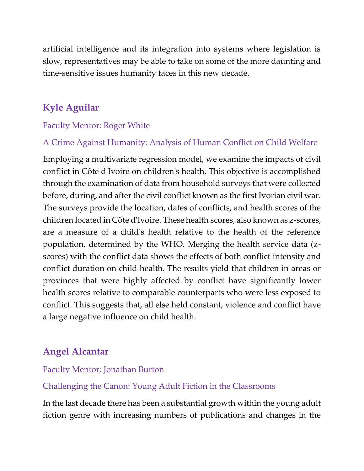artificial intelligence and its integration into systems where legislation is slow, representatives may be able to take on some of the more daunting and time-sensitive issues humanity faces in this new decade.

# **Kyle Aguilar**

## Faculty Mentor: Roger White

## A Crime Against Humanity: Analysis of Human Conflict on Child Welfare

Employing a multivariate regression model, we examine the impacts of civil conflict in Côte d'Ivoire on children's health. This objective is accomplished through the examination of data from household surveys that were collected before, during, and after the civil conflict known as the first Ivorian civil war. The surveys provide the location, dates of conflicts, and health scores of the children located in Côte d'Ivoire. These health scores, also known as z-scores, are a measure of a child's health relative to the health of the reference population, determined by the WHO. Merging the health service data (zscores) with the conflict data shows the effects of both conflict intensity and conflict duration on child health. The results yield that children in areas or provinces that were highly affected by conflict have significantly lower health scores relative to comparable counterparts who were less exposed to conflict. This suggests that, all else held constant, violence and conflict have a large negative influence on child health.

# **Angel Alcantar**

### Faculty Mentor: Jonathan Burton

### Challenging the Canon: Young Adult Fiction in the Classrooms

In the last decade there has been a substantial growth within the young adult fiction genre with increasing numbers of publications and changes in the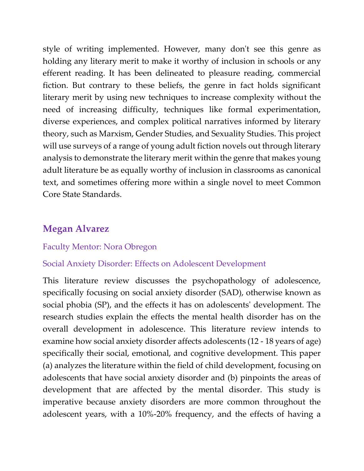style of writing implemented. However, many don't see this genre as holding any literary merit to make it worthy of inclusion in schools or any efferent reading. It has been delineated to pleasure reading, commercial fiction. But contrary to these beliefs, the genre in fact holds significant literary merit by using new techniques to increase complexity without the need of increasing difficulty, techniques like formal experimentation, diverse experiences, and complex political narratives informed by literary theory, such as Marxism, Gender Studies, and Sexuality Studies. This project will use surveys of a range of young adult fiction novels out through literary analysis to demonstrate the literary merit within the genre that makes young adult literature be as equally worthy of inclusion in classrooms as canonical text, and sometimes offering more within a single novel to meet Common Core State Standards.

## **Megan Alvarez**

#### Faculty Mentor: Nora Obregon

#### Social Anxiety Disorder: Effects on Adolescent Development

This literature review discusses the psychopathology of adolescence, specifically focusing on social anxiety disorder (SAD), otherwise known as social phobia (SP), and the effects it has on adolescents' development. The research studies explain the effects the mental health disorder has on the overall development in adolescence. This literature review intends to examine how social anxiety disorder affects adolescents (12 - 18 years of age) specifically their social, emotional, and cognitive development. This paper (a) analyzes the literature within the field of child development, focusing on adolescents that have social anxiety disorder and (b) pinpoints the areas of development that are affected by the mental disorder. This study is imperative because anxiety disorders are more common throughout the adolescent years, with a 10%-20% frequency, and the effects of having a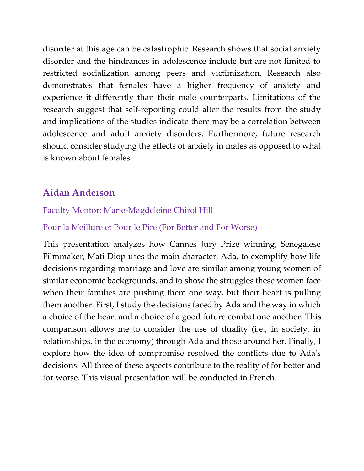disorder at this age can be catastrophic. Research shows that social anxiety disorder and the hindrances in adolescence include but are not limited to restricted socialization among peers and victimization. Research also demonstrates that females have a higher frequency of anxiety and experience it differently than their male counterparts. Limitations of the research suggest that self-reporting could alter the results from the study and implications of the studies indicate there may be a correlation between adolescence and adult anxiety disorders. Furthermore, future research should consider studying the effects of anxiety in males as opposed to what is known about females.

## **Aidan Anderson**

### Faculty Mentor: Marie-Magdeleine Chirol Hill

### Pour la Meillure et Pour le Pire (For Better and For Worse)

This presentation analyzes how Cannes Jury Prize winning, Senegalese Filmmaker, Mati Diop uses the main character, Ada, to exemplify how life decisions regarding marriage and love are similar among young women of similar economic backgrounds, and to show the struggles these women face when their families are pushing them one way, but their heart is pulling them another. First, I study the decisions faced by Ada and the way in which a choice of the heart and a choice of a good future combat one another. This comparison allows me to consider the use of duality (i.e., in society, in relationships, in the economy) through Ada and those around her. Finally, I explore how the idea of compromise resolved the conflicts due to Ada's decisions. All three of these aspects contribute to the reality of for better and for worse. This visual presentation will be conducted in French.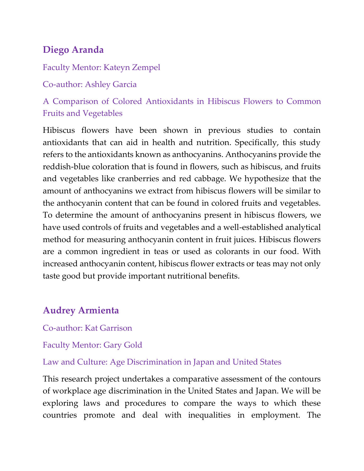# **Diego Aranda**

## Faculty Mentor: Kateyn Zempel

Co-author: Ashley Garcia

A Comparison of Colored Antioxidants in Hibiscus Flowers to Common Fruits and Vegetables

Hibiscus flowers have been shown in previous studies to contain antioxidants that can aid in health and nutrition. Specifically, this study refers to the antioxidants known as anthocyanins. Anthocyanins provide the reddish-blue coloration that is found in flowers, such as hibiscus, and fruits and vegetables like cranberries and red cabbage. We hypothesize that the amount of anthocyanins we extract from hibiscus flowers will be similar to the anthocyanin content that can be found in colored fruits and vegetables. To determine the amount of anthocyanins present in hibiscus flowers, we have used controls of fruits and vegetables and a well-established analytical method for measuring anthocyanin content in fruit juices. Hibiscus flowers are a common ingredient in teas or used as colorants in our food. With increased anthocyanin content, hibiscus flower extracts or teas may not only taste good but provide important nutritional benefits.

# **Audrey Armienta**

Co-author: Kat Garrison

Faculty Mentor: Gary Gold

Law and Culture: Age Discrimination in Japan and United States

This research project undertakes a comparative assessment of the contours of workplace age discrimination in the United States and Japan. We will be exploring laws and procedures to compare the ways to which these countries promote and deal with inequalities in employment. The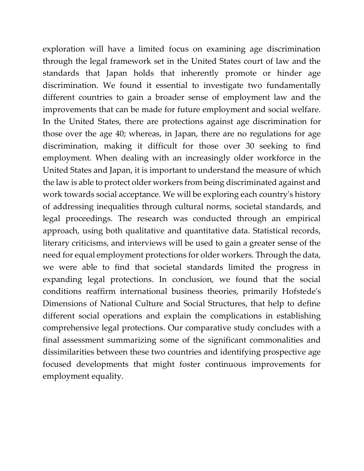exploration will have a limited focus on examining age discrimination through the legal framework set in the United States court of law and the standards that Japan holds that inherently promote or hinder age discrimination. We found it essential to investigate two fundamentally different countries to gain a broader sense of employment law and the improvements that can be made for future employment and social welfare. In the United States, there are protections against age discrimination for those over the age 40; whereas, in Japan, there are no regulations for age discrimination, making it difficult for those over 30 seeking to find employment. When dealing with an increasingly older workforce in the United States and Japan, it is important to understand the measure of which the law is able to protect older workers from being discriminated against and work towards social acceptance. We will be exploring each country's history of addressing inequalities through cultural norms, societal standards, and legal proceedings. The research was conducted through an empirical approach, using both qualitative and quantitative data. Statistical records, literary criticisms, and interviews will be used to gain a greater sense of the need for equal employment protections for older workers. Through the data, we were able to find that societal standards limited the progress in expanding legal protections. In conclusion, we found that the social conditions reaffirm international business theories, primarily Hofstede's Dimensions of National Culture and Social Structures, that help to define different social operations and explain the complications in establishing comprehensive legal protections. Our comparative study concludes with a final assessment summarizing some of the significant commonalities and dissimilarities between these two countries and identifying prospective age focused developments that might foster continuous improvements for employment equality.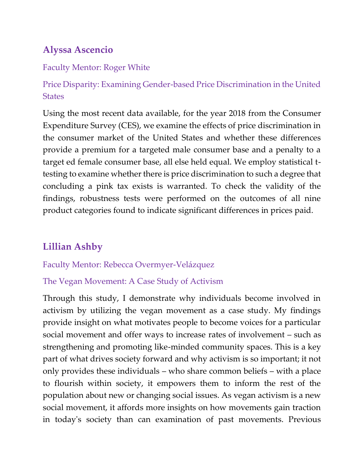# **Alyssa Ascencio**

### Faculty Mentor: Roger White

Price Disparity: Examining Gender-based Price Discrimination in the United **States** 

Using the most recent data available, for the year 2018 from the Consumer Expenditure Survey (CES), we examine the effects of price discrimination in the consumer market of the United States and whether these differences provide a premium for a targeted male consumer base and a penalty to a target ed female consumer base, all else held equal. We employ statistical ttesting to examine whether there is price discrimination to such a degree that concluding a pink tax exists is warranted. To check the validity of the findings, robustness tests were performed on the outcomes of all nine product categories found to indicate significant differences in prices paid.

# **Lillian Ashby**

### Faculty Mentor: Rebecca Overmyer-Velázquez

### The Vegan Movement: A Case Study of Activism

Through this study, I demonstrate why individuals become involved in activism by utilizing the vegan movement as a case study. My findings provide insight on what motivates people to become voices for a particular social movement and offer ways to increase rates of involvement – such as strengthening and promoting like-minded community spaces. This is a key part of what drives society forward and why activism is so important; it not only provides these individuals – who share common beliefs – with a place to flourish within society, it empowers them to inform the rest of the population about new or changing social issues. As vegan activism is a new social movement, it affords more insights on how movements gain traction in today's society than can examination of past movements. Previous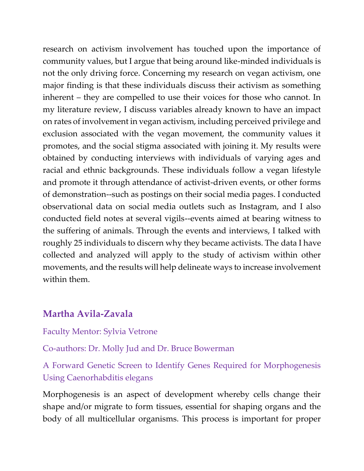research on activism involvement has touched upon the importance of community values, but I argue that being around like-minded individuals is not the only driving force. Concerning my research on vegan activism, one major finding is that these individuals discuss their activism as something inherent – they are compelled to use their voices for those who cannot. In my literature review, I discuss variables already known to have an impact on rates of involvement in vegan activism, including perceived privilege and exclusion associated with the vegan movement, the community values it promotes, and the social stigma associated with joining it. My results were obtained by conducting interviews with individuals of varying ages and racial and ethnic backgrounds. These individuals follow a vegan lifestyle and promote it through attendance of activist-driven events, or other forms of demonstration--such as postings on their social media pages. I conducted observational data on social media outlets such as Instagram, and I also conducted field notes at several vigils--events aimed at bearing witness to the suffering of animals. Through the events and interviews, I talked with roughly 25 individuals to discern why they became activists. The data I have collected and analyzed will apply to the study of activism within other movements, and the results will help delineate ways to increase involvement within them.

## **Martha Avila-Zavala**

Faculty Mentor: Sylvia Vetrone

Co-authors: Dr. Molly Jud and Dr. Bruce Bowerman

A Forward Genetic Screen to Identify Genes Required for Morphogenesis Using Caenorhabditis elegans

Morphogenesis is an aspect of development whereby cells change their shape and/or migrate to form tissues, essential for shaping organs and the body of all multicellular organisms. This process is important for proper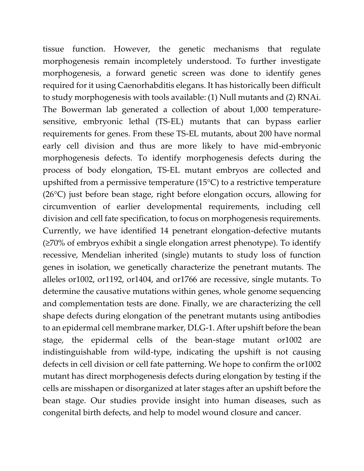tissue function. However, the genetic mechanisms that regulate morphogenesis remain incompletely understood. To further investigate morphogenesis, a forward genetic screen was done to identify genes required for it using Caenorhabditis elegans. It has historically been difficult to study morphogenesis with tools available: (1) Null mutants and (2) RNAi. The Bowerman lab generated a collection of about 1,000 temperaturesensitive, embryonic lethal (TS-EL) mutants that can bypass earlier requirements for genes. From these TS-EL mutants, about 200 have normal early cell division and thus are more likely to have mid-embryonic morphogenesis defects. To identify morphogenesis defects during the process of body elongation, TS-EL mutant embryos are collected and upshifted from a permissive temperature (15°C) to a restrictive temperature (26°C) just before bean stage, right before elongation occurs, allowing for circumvention of earlier developmental requirements, including cell division and cell fate specification, to focus on morphogenesis requirements. Currently, we have identified 14 penetrant elongation-defective mutants (≥70% of embryos exhibit a single elongation arrest phenotype). To identify recessive, Mendelian inherited (single) mutants to study loss of function genes in isolation, we genetically characterize the penetrant mutants. The alleles or1002, or1192, or1404, and or1766 are recessive, single mutants. To determine the causative mutations within genes, whole genome sequencing and complementation tests are done. Finally, we are characterizing the cell shape defects during elongation of the penetrant mutants using antibodies to an epidermal cell membrane marker, DLG-1. After upshift before the bean stage, the epidermal cells of the bean-stage mutant or1002 are indistinguishable from wild-type, indicating the upshift is not causing defects in cell division or cell fate patterning. We hope to confirm the or1002 mutant has direct morphogenesis defects during elongation by testing if the cells are misshapen or disorganized at later stages after an upshift before the bean stage. Our studies provide insight into human diseases, such as congenital birth defects, and help to model wound closure and cancer.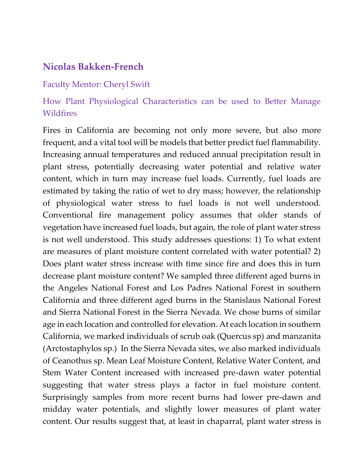## **Nicolas Bakken-French**

#### Faculty Mentor: Cheryl Swift

## How Plant Physiological Characteristics can be used to Better Manage Wildfires

Fires in California are becoming not only more severe, but also more frequent, and a vital tool will be models that better predict fuel flammability. Increasing annual temperatures and reduced annual precipitation result in plant stress, potentially decreasing water potential and relative water content, which in turn may increase fuel loads. Currently, fuel loads are estimated by taking the ratio of wet to dry mass; however, the relationship of physiological water stress to fuel loads is not well understood. Conventional fire management policy assumes that older stands of vegetation have increased fuel loads, but again, the role of plant water stress is not well understood. This study addresses questions: 1) To what extent are measures of plant moisture content correlated with water potential? 2) Does plant water stress increase with time since fire and does this in turn decrease plant moisture content? We sampled three different aged burns in the Angeles National Forest and Los Padres National Forest in southern California and three different aged burns in the Stanislaus National Forest and Sierra National Forest in the Sierra Nevada. We chose burns of similar age in each location and controlled for elevation. At each location in southern California, we marked individuals of scrub oak (Quercus sp) and manzanita (Arctostaphylos sp.) In the Sierra Nevada sites, we also marked individuals of Ceanothus sp. Mean Leaf Moisture Content, Relative Water Content, and Stem Water Content increased with increased pre-dawn water potential suggesting that water stress plays a factor in fuel moisture content. Surprisingly samples from more recent burns had lower pre-dawn and midday water potentials, and slightly lower measures of plant water content. Our results suggest that, at least in chaparral, plant water stress is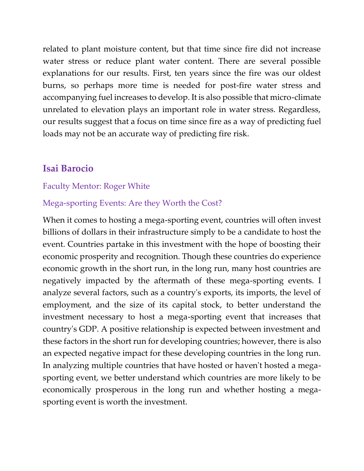related to plant moisture content, but that time since fire did not increase water stress or reduce plant water content. There are several possible explanations for our results. First, ten years since the fire was our oldest burns, so perhaps more time is needed for post-fire water stress and accompanying fuel increases to develop. It is also possible that micro-climate unrelated to elevation plays an important role in water stress. Regardless, our results suggest that a focus on time since fire as a way of predicting fuel loads may not be an accurate way of predicting fire risk.

### **Isai Barocio**

#### Faculty Mentor: Roger White

### Mega-sporting Events: Are they Worth the Cost?

When it comes to hosting a mega-sporting event, countries will often invest billions of dollars in their infrastructure simply to be a candidate to host the event. Countries partake in this investment with the hope of boosting their economic prosperity and recognition. Though these countries do experience economic growth in the short run, in the long run, many host countries are negatively impacted by the aftermath of these mega-sporting events. I analyze several factors, such as a country's exports, its imports, the level of employment, and the size of its capital stock, to better understand the investment necessary to host a mega-sporting event that increases that country's GDP. A positive relationship is expected between investment and these factors in the short run for developing countries; however, there is also an expected negative impact for these developing countries in the long run. In analyzing multiple countries that have hosted or haven't hosted a megasporting event, we better understand which countries are more likely to be economically prosperous in the long run and whether hosting a megasporting event is worth the investment.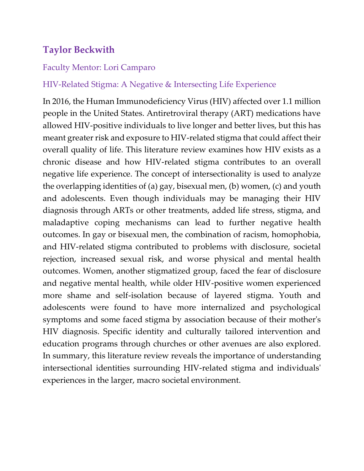# **Taylor Beckwith**

### Faculty Mentor: Lori Camparo

### HIV-Related Stigma: A Negative & Intersecting Life Experience

In 2016, the Human Immunodeficiency Virus (HIV) affected over 1.1 million people in the United States. Antiretroviral therapy (ART) medications have allowed HIV-positive individuals to live longer and better lives, but this has meant greater risk and exposure to HIV-related stigma that could affect their overall quality of life. This literature review examines how HIV exists as a chronic disease and how HIV-related stigma contributes to an overall negative life experience. The concept of intersectionality is used to analyze the overlapping identities of (a) gay, bisexual men, (b) women, (c) and youth and adolescents. Even though individuals may be managing their HIV diagnosis through ARTs or other treatments, added life stress, stigma, and maladaptive coping mechanisms can lead to further negative health outcomes. In gay or bisexual men, the combination of racism, homophobia, and HIV-related stigma contributed to problems with disclosure, societal rejection, increased sexual risk, and worse physical and mental health outcomes. Women, another stigmatized group, faced the fear of disclosure and negative mental health, while older HIV-positive women experienced more shame and self-isolation because of layered stigma. Youth and adolescents were found to have more internalized and psychological symptoms and some faced stigma by association because of their mother's HIV diagnosis. Specific identity and culturally tailored intervention and education programs through churches or other avenues are also explored. In summary, this literature review reveals the importance of understanding intersectional identities surrounding HIV-related stigma and individuals' experiences in the larger, macro societal environment.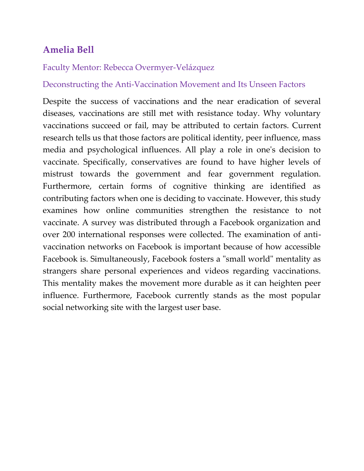# **Amelia Bell**

### Faculty Mentor: Rebecca Overmyer-Velázquez

### Deconstructing the Anti-Vaccination Movement and Its Unseen Factors

Despite the success of vaccinations and the near eradication of several diseases, vaccinations are still met with resistance today. Why voluntary vaccinations succeed or fail, may be attributed to certain factors. Current research tells us that those factors are political identity, peer influence, mass media and psychological influences. All play a role in one's decision to vaccinate. Specifically, conservatives are found to have higher levels of mistrust towards the government and fear government regulation. Furthermore, certain forms of cognitive thinking are identified as contributing factors when one is deciding to vaccinate. However, this study examines how online communities strengthen the resistance to not vaccinate. A survey was distributed through a Facebook organization and over 200 international responses were collected. The examination of antivaccination networks on Facebook is important because of how accessible Facebook is. Simultaneously, Facebook fosters a "small world" mentality as strangers share personal experiences and videos regarding vaccinations. This mentality makes the movement more durable as it can heighten peer influence. Furthermore, Facebook currently stands as the most popular social networking site with the largest user base.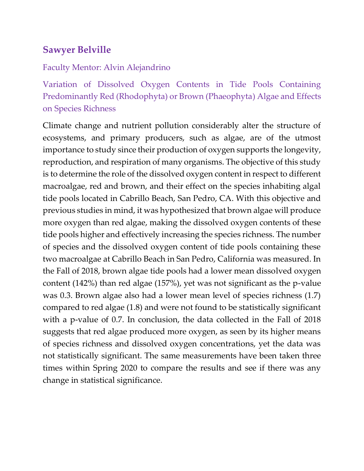# **Sawyer Belville**

#### Faculty Mentor: Alvin Alejandrino

Variation of Dissolved Oxygen Contents in Tide Pools Containing Predominantly Red (Rhodophyta) or Brown (Phaeophyta) Algae and Effects on Species Richness

Climate change and nutrient pollution considerably alter the structure of ecosystems, and primary producers, such as algae, are of the utmost importance to study since their production of oxygen supports the longevity, reproduction, and respiration of many organisms. The objective of this study is to determine the role of the dissolved oxygen content in respect to different macroalgae, red and brown, and their effect on the species inhabiting algal tide pools located in Cabrillo Beach, San Pedro, CA. With this objective and previous studies in mind, it was hypothesized that brown algae will produce more oxygen than red algae, making the dissolved oxygen contents of these tide pools higher and effectively increasing the species richness. The number of species and the dissolved oxygen content of tide pools containing these two macroalgae at Cabrillo Beach in San Pedro, California was measured. In the Fall of 2018, brown algae tide pools had a lower mean dissolved oxygen content (142%) than red algae (157%), yet was not significant as the p-value was 0.3. Brown algae also had a lower mean level of species richness (1.7) compared to red algae (1.8) and were not found to be statistically significant with a p-value of 0.7. In conclusion, the data collected in the Fall of 2018 suggests that red algae produced more oxygen, as seen by its higher means of species richness and dissolved oxygen concentrations, yet the data was not statistically significant. The same measurements have been taken three times within Spring 2020 to compare the results and see if there was any change in statistical significance.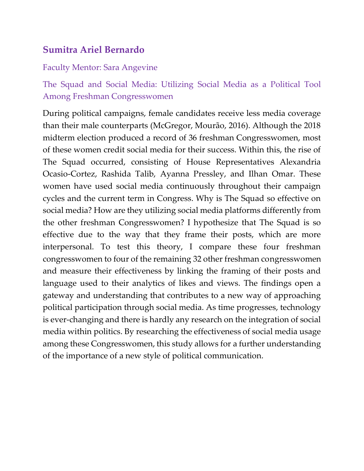# **Sumitra Ariel Bernardo**

#### Faculty Mentor: Sara Angevine

# The Squad and Social Media: Utilizing Social Media as a Political Tool Among Freshman Congresswomen

During political campaigns, female candidates receive less media coverage than their male counterparts (McGregor, Mourão, 2016). Although the 2018 midterm election produced a record of 36 freshman Congresswomen, most of these women credit social media for their success. Within this, the rise of The Squad occurred, consisting of House Representatives Alexandria Ocasio-Cortez, Rashida Talib, Ayanna Pressley, and Ilhan Omar. These women have used social media continuously throughout their campaign cycles and the current term in Congress. Why is The Squad so effective on social media? How are they utilizing social media platforms differently from the other freshman Congresswomen? I hypothesize that The Squad is so effective due to the way that they frame their posts, which are more interpersonal. To test this theory, I compare these four freshman congresswomen to four of the remaining 32 other freshman congresswomen and measure their effectiveness by linking the framing of their posts and language used to their analytics of likes and views. The findings open a gateway and understanding that contributes to a new way of approaching political participation through social media. As time progresses, technology is ever-changing and there is hardly any research on the integration of social media within politics. By researching the effectiveness of social media usage among these Congresswomen, this study allows for a further understanding of the importance of a new style of political communication.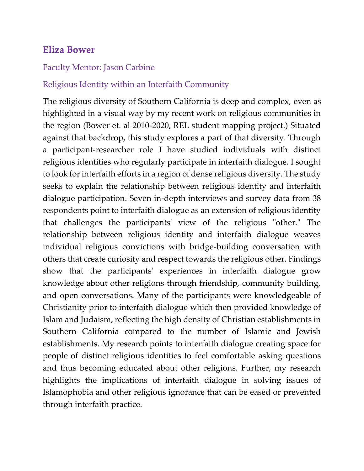## **Eliza Bower**

#### Faculty Mentor: Jason Carbine

### Religious Identity within an Interfaith Community

The religious diversity of Southern California is deep and complex, even as highlighted in a visual way by my recent work on religious communities in the region (Bower et. al 2010-2020, REL student mapping project.) Situated against that backdrop, this study explores a part of that diversity. Through a participant-researcher role I have studied individuals with distinct religious identities who regularly participate in interfaith dialogue. I sought to look for interfaith efforts in a region of dense religious diversity. The study seeks to explain the relationship between religious identity and interfaith dialogue participation. Seven in-depth interviews and survey data from 38 respondents point to interfaith dialogue as an extension of religious identity that challenges the participants' view of the religious "other." The relationship between religious identity and interfaith dialogue weaves individual religious convictions with bridge-building conversation with others that create curiosity and respect towards the religious other. Findings show that the participants' experiences in interfaith dialogue grow knowledge about other religions through friendship, community building, and open conversations. Many of the participants were knowledgeable of Christianity prior to interfaith dialogue which then provided knowledge of Islam and Judaism, reflecting the high density of Christian establishments in Southern California compared to the number of Islamic and Jewish establishments. My research points to interfaith dialogue creating space for people of distinct religious identities to feel comfortable asking questions and thus becoming educated about other religions. Further, my research highlights the implications of interfaith dialogue in solving issues of Islamophobia and other religious ignorance that can be eased or prevented through interfaith practice.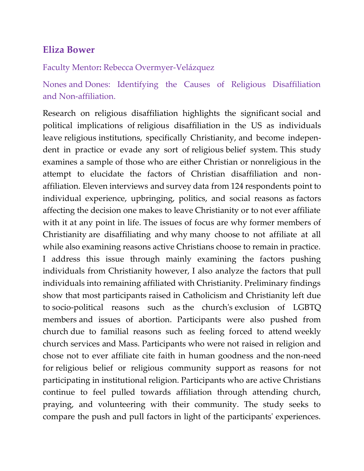## **Eliza Bower**

Faculty Mentor**:** Rebecca Overmyer-Velázquez

Nones and Dones: Identifying the Causes of Religious Disaffiliation and Non-affiliation.

Research on religious disaffiliation highlights the significant social and political implications of religious disaffiliation in the US as individuals leave religious institutions, specifically Christianity, and become independent in practice or evade any sort of religious belief system. This study examines a sample of those who are either Christian or nonreligious in the attempt to elucidate the factors of Christian disaffiliation and nonaffiliation. Eleven interviews and survey data from 124 respondents point to individual experience, upbringing, politics, and social reasons as factors affecting the decision one makes to leave Christianity or to not ever affiliate with it at any point in life. The issues of focus are why former members of Christianity are disaffiliating and why many choose to not affiliate at all while also examining reasons active Christians choose to remain in practice. I address this issue through mainly examining the factors pushing individuals from Christianity however, I also analyze the factors that pull individuals into remaining affiliated with Christianity. Preliminary findings show that most participants raised in Catholicism and Christianity left due to socio-political reasons such as the church's exclusion of LGBTQ members and issues of abortion. Participants were also pushed from church due to familial reasons such as feeling forced to attend weekly church services and Mass. Participants who were not raised in religion and chose not to ever affiliate cite faith in human goodness and the non-need for religious belief or religious community support as reasons for not participating in institutional religion. Participants who are active Christians continue to feel pulled towards affiliation through attending church, praying, and volunteering with their community. The study seeks to compare the push and pull factors in light of the participants' experiences.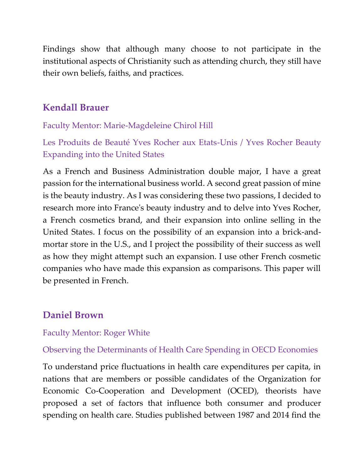Findings show that although many choose to not participate in the institutional aspects of Christianity such as attending church, they still have their own beliefs, faiths, and practices.

# **Kendall Brauer**

Faculty Mentor: Marie-Magdeleine Chirol Hill

Les Produits de Beauté Yves Rocher aux Etats-Unis / Yves Rocher Beauty Expanding into the United States

As a French and Business Administration double major, I have a great passion for the international business world. A second great passion of mine is the beauty industry. As I was considering these two passions, I decided to research more into France's beauty industry and to delve into Yves Rocher, a French cosmetics brand, and their expansion into online selling in the United States. I focus on the possibility of an expansion into a brick-andmortar store in the U.S., and I project the possibility of their success as well as how they might attempt such an expansion. I use other French cosmetic companies who have made this expansion as comparisons. This paper will be presented in French.

# **Daniel Brown**

### Faculty Mentor: Roger White

## Observing the Determinants of Health Care Spending in OECD Economies

To understand price fluctuations in health care expenditures per capita, in nations that are members or possible candidates of the Organization for Economic Co-Cooperation and Development (OCED), theorists have proposed a set of factors that influence both consumer and producer spending on health care. Studies published between 1987 and 2014 find the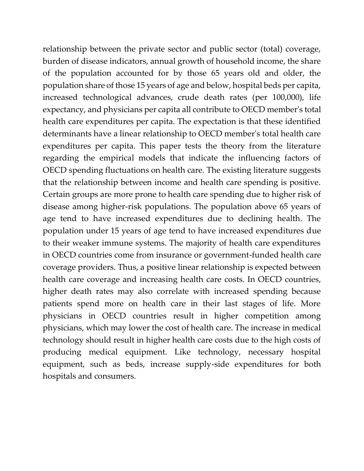relationship between the private sector and public sector (total) coverage, burden of disease indicators, annual growth of household income, the share of the population accounted for by those 65 years old and older, the population share of those 15 years of age and below, hospital beds per capita, increased technological advances, crude death rates (per 100,000), life expectancy, and physicians per capita all contribute to OECD member's total health care expenditures per capita. The expectation is that these identified determinants have a linear relationship to OECD member's total health care expenditures per capita. This paper tests the theory from the literature regarding the empirical models that indicate the influencing factors of OECD spending fluctuations on health care. The existing literature suggests that the relationship between income and health care spending is positive. Certain groups are more prone to health care spending due to higher risk of disease among higher-risk populations. The population above 65 years of age tend to have increased expenditures due to declining health. The population under 15 years of age tend to have increased expenditures due to their weaker immune systems. The majority of health care expenditures in OECD countries come from insurance or government-funded health care coverage providers. Thus, a positive linear relationship is expected between health care coverage and increasing health care costs. In OECD countries, higher death rates may also correlate with increased spending because patients spend more on health care in their last stages of life. More physicians in OECD countries result in higher competition among physicians, which may lower the cost of health care. The increase in medical technology should result in higher health care costs due to the high costs of producing medical equipment. Like technology, necessary hospital equipment, such as beds, increase supply-side expenditures for both hospitals and consumers.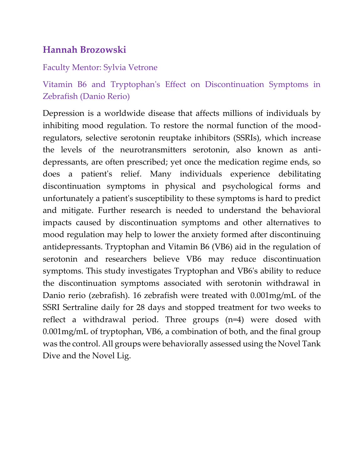# **Hannah Brozowski**

### Faculty Mentor: Sylvia Vetrone

# Vitamin B6 and Tryptophan's Effect on Discontinuation Symptoms in Zebrafish (Danio Rerio)

Depression is a worldwide disease that affects millions of individuals by inhibiting mood regulation. To restore the normal function of the moodregulators, selective serotonin reuptake inhibitors (SSRIs), which increase the levels of the neurotransmitters serotonin, also known as antidepressants, are often prescribed; yet once the medication regime ends, so does a patient's relief. Many individuals experience debilitating discontinuation symptoms in physical and psychological forms and unfortunately a patient's susceptibility to these symptoms is hard to predict and mitigate. Further research is needed to understand the behavioral impacts caused by discontinuation symptoms and other alternatives to mood regulation may help to lower the anxiety formed after discontinuing antidepressants. Tryptophan and Vitamin B6 (VB6) aid in the regulation of serotonin and researchers believe VB6 may reduce discontinuation symptoms. This study investigates Tryptophan and VB6's ability to reduce the discontinuation symptoms associated with serotonin withdrawal in Danio rerio (zebrafish). 16 zebrafish were treated with 0.001mg/mL of the SSRI Sertraline daily for 28 days and stopped treatment for two weeks to reflect a withdrawal period. Three groups (n=4) were dosed with 0.001mg/mL of tryptophan, VB6, a combination of both, and the final group was the control. All groups were behaviorally assessed using the Novel Tank Dive and the Novel Lig.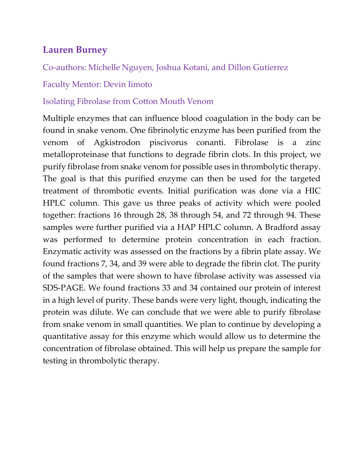# **Lauren Burney**

Co-authors: Michelle Nguyen, Joshua Kotani, and Dillon Gutierrez

### Faculty Mentor: Devin Iimoto

### Isolating Fibrolase from Cotton Mouth Venom

Multiple enzymes that can influence blood coagulation in the body can be found in snake venom. One fibrinolytic enzyme has been purified from the venom of Agkistrodon piscivorus conanti. Fibrolase is a zinc metalloproteinase that functions to degrade fibrin clots. In this project, we purify fibrolase from snake venom for possible uses in thrombolytic therapy. The goal is that this purified enzyme can then be used for the targeted treatment of thrombotic events. Initial purification was done via a HIC HPLC column. This gave us three peaks of activity which were pooled together: fractions 16 through 28, 38 through 54, and 72 through 94. These samples were further purified via a HAP HPLC column. A Bradford assay was performed to determine protein concentration in each fraction. Enzymatic activity was assessed on the fractions by a fibrin plate assay. We found fractions 7, 34, and 39 were able to degrade the fibrin clot. The purity of the samples that were shown to have fibrolase activity was assessed via SDS-PAGE. We found fractions 33 and 34 contained our protein of interest in a high level of purity. These bands were very light, though, indicating the protein was dilute. We can conclude that we were able to purify fibrolase from snake venom in small quantities. We plan to continue by developing a quantitative assay for this enzyme which would allow us to determine the concentration of fibrolase obtained. This will help us prepare the sample for testing in thrombolytic therapy.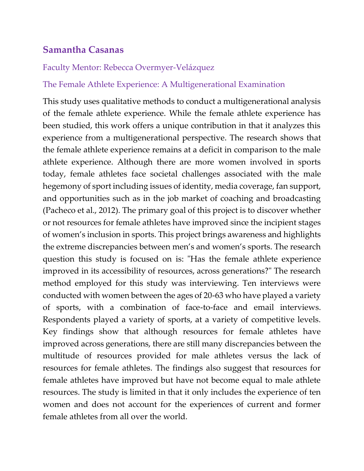## **Samantha Casanas**

#### Faculty Mentor: Rebecca Overmyer-Velázquez

#### The Female Athlete Experience: A Multigenerational Examination

This study uses qualitative methods to conduct a multigenerational analysis of the female athlete experience. While the female athlete experience has been studied, this work offers a unique contribution in that it analyzes this experience from a multigenerational perspective. The research shows that the female athlete experience remains at a deficit in comparison to the male athlete experience. Although there are more women involved in sports today, female athletes face societal challenges associated with the male hegemony of sport including issues of identity, media coverage, fan support, and opportunities such as in the job market of coaching and broadcasting (Pacheco et al., 2012). The primary goal of this project is to discover whether or not resources for female athletes have improved since the incipient stages of women's inclusion in sports. This project brings awareness and highlights the extreme discrepancies between men's and women's sports. The research question this study is focused on is: "Has the female athlete experience improved in its accessibility of resources, across generations?" The research method employed for this study was interviewing. Ten interviews were conducted with women between the ages of 20-63 who have played a variety of sports, with a combination of face-to-face and email interviews. Respondents played a variety of sports, at a variety of competitive levels. Key findings show that although resources for female athletes have improved across generations, there are still many discrepancies between the multitude of resources provided for male athletes versus the lack of resources for female athletes. The findings also suggest that resources for female athletes have improved but have not become equal to male athlete resources. The study is limited in that it only includes the experience of ten women and does not account for the experiences of current and former female athletes from all over the world.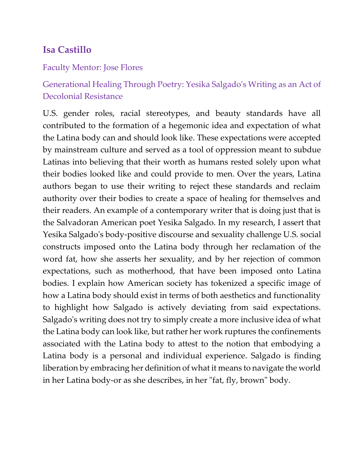## **Isa Castillo**

#### Faculty Mentor: Jose Flores

# Generational Healing Through Poetry: Yesika Salgado's Writing as an Act of Decolonial Resistance

U.S. gender roles, racial stereotypes, and beauty standards have all contributed to the formation of a hegemonic idea and expectation of what the Latina body can and should look like. These expectations were accepted by mainstream culture and served as a tool of oppression meant to subdue Latinas into believing that their worth as humans rested solely upon what their bodies looked like and could provide to men. Over the years, Latina authors began to use their writing to reject these standards and reclaim authority over their bodies to create a space of healing for themselves and their readers. An example of a contemporary writer that is doing just that is the Salvadoran American poet Yesika Salgado. In my research, I assert that Yesika Salgado's body-positive discourse and sexuality challenge U.S. social constructs imposed onto the Latina body through her reclamation of the word fat, how she asserts her sexuality, and by her rejection of common expectations, such as motherhood, that have been imposed onto Latina bodies. I explain how American society has tokenized a specific image of how a Latina body should exist in terms of both aesthetics and functionality to highlight how Salgado is actively deviating from said expectations. Salgado's writing does not try to simply create a more inclusive idea of what the Latina body can look like, but rather her work ruptures the confinements associated with the Latina body to attest to the notion that embodying a Latina body is a personal and individual experience. Salgado is finding liberation by embracing her definition of what it means to navigate the world in her Latina body-or as she describes, in her "fat, fly, brown" body.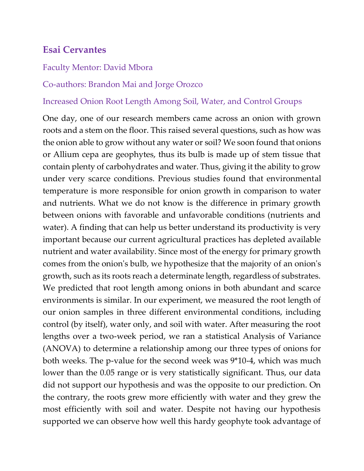# **Esai Cervantes**

#### Faculty Mentor: David Mbora

#### Co-authors: Brandon Mai and Jorge Orozco

#### Increased Onion Root Length Among Soil, Water, and Control Groups

One day, one of our research members came across an onion with grown roots and a stem on the floor. This raised several questions, such as how was the onion able to grow without any water or soil? We soon found that onions or Allium cepa are geophytes, thus its bulb is made up of stem tissue that contain plenty of carbohydrates and water. Thus, giving it the ability to grow under very scarce conditions. Previous studies found that environmental temperature is more responsible for onion growth in comparison to water and nutrients. What we do not know is the difference in primary growth between onions with favorable and unfavorable conditions (nutrients and water). A finding that can help us better understand its productivity is very important because our current agricultural practices has depleted available nutrient and water availability. Since most of the energy for primary growth comes from the onion's bulb, we hypothesize that the majority of an onion's growth, such as its roots reach a determinate length, regardless of substrates. We predicted that root length among onions in both abundant and scarce environments is similar. In our experiment, we measured the root length of our onion samples in three different environmental conditions, including control (by itself), water only, and soil with water. After measuring the root lengths over a two-week period, we ran a statistical Analysis of Variance (ANOVA) to determine a relationship among our three types of onions for both weeks. The p-value for the second week was 9\*10-4, which was much lower than the 0.05 range or is very statistically significant. Thus, our data did not support our hypothesis and was the opposite to our prediction. On the contrary, the roots grew more efficiently with water and they grew the most efficiently with soil and water. Despite not having our hypothesis supported we can observe how well this hardy geophyte took advantage of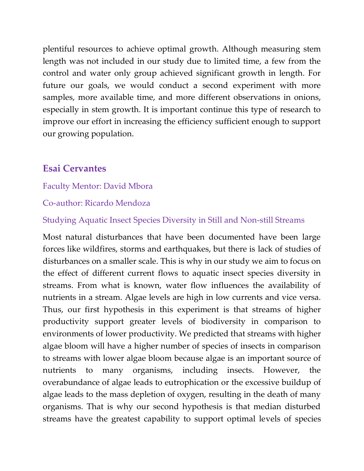plentiful resources to achieve optimal growth. Although measuring stem length was not included in our study due to limited time, a few from the control and water only group achieved significant growth in length. For future our goals, we would conduct a second experiment with more samples, more available time, and more different observations in onions, especially in stem growth. It is important continue this type of research to improve our effort in increasing the efficiency sufficient enough to support our growing population.

## **Esai Cervantes**

### Faculty Mentor: David Mbora

### Co-author: Ricardo Mendoza

### Studying Aquatic Insect Species Diversity in Still and Non-still Streams

Most natural disturbances that have been documented have been large forces like wildfires, storms and earthquakes, but there is lack of studies of disturbances on a smaller scale. This is why in our study we aim to focus on the effect of different current flows to aquatic insect species diversity in streams. From what is known, water flow influences the availability of nutrients in a stream. Algae levels are high in low currents and vice versa. Thus, our first hypothesis in this experiment is that streams of higher productivity support greater levels of biodiversity in comparison to environments of lower productivity. We predicted that streams with higher algae bloom will have a higher number of species of insects in comparison to streams with lower algae bloom because algae is an important source of nutrients to many organisms, including insects. However, the overabundance of algae leads to eutrophication or the excessive buildup of algae leads to the mass depletion of oxygen, resulting in the death of many organisms. That is why our second hypothesis is that median disturbed streams have the greatest capability to support optimal levels of species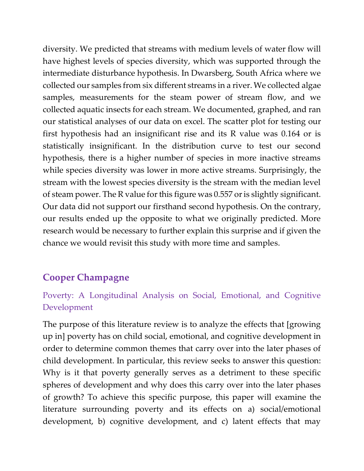diversity. We predicted that streams with medium levels of water flow will have highest levels of species diversity, which was supported through the intermediate disturbance hypothesis. In Dwarsberg, South Africa where we collected our samples from six different streams in a river. We collected algae samples, measurements for the steam power of stream flow, and we collected aquatic insects for each stream. We documented, graphed, and ran our statistical analyses of our data on excel. The scatter plot for testing our first hypothesis had an insignificant rise and its R value was 0.164 or is statistically insignificant. In the distribution curve to test our second hypothesis, there is a higher number of species in more inactive streams while species diversity was lower in more active streams. Surprisingly, the stream with the lowest species diversity is the stream with the median level of steam power. The R value for this figure was 0.557 or is slightly significant. Our data did not support our firsthand second hypothesis. On the contrary, our results ended up the opposite to what we originally predicted. More research would be necessary to further explain this surprise and if given the chance we would revisit this study with more time and samples.

# **Cooper Champagne**

## Poverty: A Longitudinal Analysis on Social, Emotional, and Cognitive Development

The purpose of this literature review is to analyze the effects that [growing up in] poverty has on child social, emotional, and cognitive development in order to determine common themes that carry over into the later phases of child development. In particular, this review seeks to answer this question: Why is it that poverty generally serves as a detriment to these specific spheres of development and why does this carry over into the later phases of growth? To achieve this specific purpose, this paper will examine the literature surrounding poverty and its effects on a) social/emotional development, b) cognitive development, and c) latent effects that may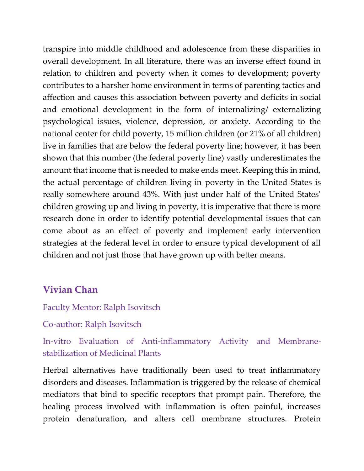transpire into middle childhood and adolescence from these disparities in overall development. In all literature, there was an inverse effect found in relation to children and poverty when it comes to development; poverty contributes to a harsher home environment in terms of parenting tactics and affection and causes this association between poverty and deficits in social and emotional development in the form of internalizing/ externalizing psychological issues, violence, depression, or anxiety. According to the national center for child poverty, 15 million children (or 21% of all children) live in families that are below the federal poverty line; however, it has been shown that this number (the federal poverty line) vastly underestimates the amount that income that is needed to make ends meet. Keeping this in mind, the actual percentage of children living in poverty in the United States is really somewhere around 43%. With just under half of the United States' children growing up and living in poverty, it is imperative that there is more research done in order to identify potential developmental issues that can come about as an effect of poverty and implement early intervention strategies at the federal level in order to ensure typical development of all children and not just those that have grown up with better means.

## **Vivian Chan**

Faculty Mentor: Ralph Isovitsch

Co-author: Ralph Isovitsch

In-vitro Evaluation of Anti-inflammatory Activity and Membranestabilization of Medicinal Plants

Herbal alternatives have traditionally been used to treat inflammatory disorders and diseases. Inflammation is triggered by the release of chemical mediators that bind to specific receptors that prompt pain. Therefore, the healing process involved with inflammation is often painful, increases protein denaturation, and alters cell membrane structures. Protein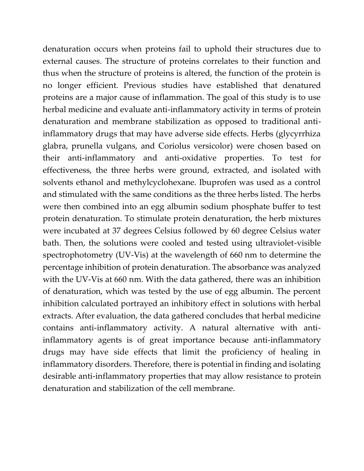denaturation occurs when proteins fail to uphold their structures due to external causes. The structure of proteins correlates to their function and thus when the structure of proteins is altered, the function of the protein is no longer efficient. Previous studies have established that denatured proteins are a major cause of inflammation. The goal of this study is to use herbal medicine and evaluate anti-inflammatory activity in terms of protein denaturation and membrane stabilization as opposed to traditional antiinflammatory drugs that may have adverse side effects. Herbs (glycyrrhiza glabra, prunella vulgans, and Coriolus versicolor) were chosen based on their anti-inflammatory and anti-oxidative properties. To test for effectiveness, the three herbs were ground, extracted, and isolated with solvents ethanol and methylcyclohexane. Ibuprofen was used as a control and stimulated with the same conditions as the three herbs listed. The herbs were then combined into an egg albumin sodium phosphate buffer to test protein denaturation. To stimulate protein denaturation, the herb mixtures were incubated at 37 degrees Celsius followed by 60 degree Celsius water bath. Then, the solutions were cooled and tested using ultraviolet-visible spectrophotometry (UV-Vis) at the wavelength of 660 nm to determine the percentage inhibition of protein denaturation. The absorbance was analyzed with the UV-Vis at 660 nm. With the data gathered, there was an inhibition of denaturation, which was tested by the use of egg albumin. The percent inhibition calculated portrayed an inhibitory effect in solutions with herbal extracts. After evaluation, the data gathered concludes that herbal medicine contains anti-inflammatory activity. A natural alternative with antiinflammatory agents is of great importance because anti-inflammatory drugs may have side effects that limit the proficiency of healing in inflammatory disorders. Therefore, there is potential in finding and isolating desirable anti-inflammatory properties that may allow resistance to protein denaturation and stabilization of the cell membrane.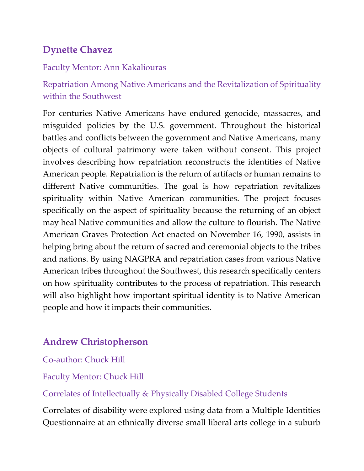# **Dynette Chavez**

### Faculty Mentor: Ann Kakaliouras

Repatriation Among Native Americans and the Revitalization of Spirituality within the Southwest

For centuries Native Americans have endured genocide, massacres, and misguided policies by the U.S. government. Throughout the historical battles and conflicts between the government and Native Americans, many objects of cultural patrimony were taken without consent. This project involves describing how repatriation reconstructs the identities of Native American people. Repatriation is the return of artifacts or human remains to different Native communities. The goal is how repatriation revitalizes spirituality within Native American communities. The project focuses specifically on the aspect of spirituality because the returning of an object may heal Native communities and allow the culture to flourish. The Native American Graves Protection Act enacted on November 16, 1990, assists in helping bring about the return of sacred and ceremonial objects to the tribes and nations. By using NAGPRA and repatriation cases from various Native American tribes throughout the Southwest, this research specifically centers on how spirituality contributes to the process of repatriation. This research will also highlight how important spiritual identity is to Native American people and how it impacts their communities.

# **Andrew Christopherson**

Co-author: Chuck Hill

### Faculty Mentor: Chuck Hill

Correlates of Intellectually & Physically Disabled College Students

Correlates of disability were explored using data from a Multiple Identities Questionnaire at an ethnically diverse small liberal arts college in a suburb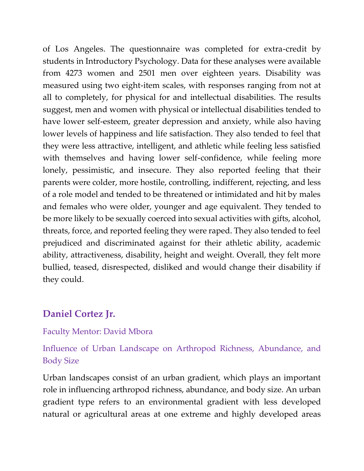of Los Angeles. The questionnaire was completed for extra-credit by students in Introductory Psychology. Data for these analyses were available from 4273 women and 2501 men over eighteen years. Disability was measured using two eight-item scales, with responses ranging from not at all to completely, for physical for and intellectual disabilities. The results suggest, men and women with physical or intellectual disabilities tended to have lower self-esteem, greater depression and anxiety, while also having lower levels of happiness and life satisfaction. They also tended to feel that they were less attractive, intelligent, and athletic while feeling less satisfied with themselves and having lower self-confidence, while feeling more lonely, pessimistic, and insecure. They also reported feeling that their parents were colder, more hostile, controlling, indifferent, rejecting, and less of a role model and tended to be threatened or intimidated and hit by males and females who were older, younger and age equivalent. They tended to be more likely to be sexually coerced into sexual activities with gifts, alcohol, threats, force, and reported feeling they were raped. They also tended to feel prejudiced and discriminated against for their athletic ability, academic ability, attractiveness, disability, height and weight. Overall, they felt more bullied, teased, disrespected, disliked and would change their disability if they could.

# **Daniel Cortez Jr.**

### Faculty Mentor: David Mbora

## Influence of Urban Landscape on Arthropod Richness, Abundance, and Body Size

Urban landscapes consist of an urban gradient, which plays an important role in influencing arthropod richness, abundance, and body size. An urban gradient type refers to an environmental gradient with less developed natural or agricultural areas at one extreme and highly developed areas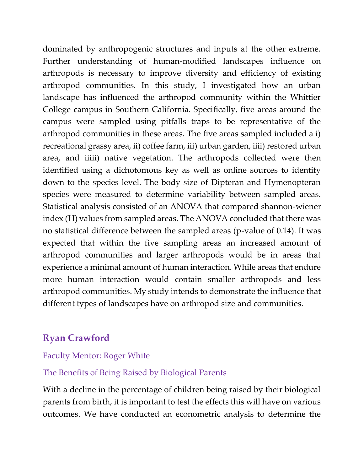dominated by anthropogenic structures and inputs at the other extreme. Further understanding of human-modified landscapes influence on arthropods is necessary to improve diversity and efficiency of existing arthropod communities. In this study, I investigated how an urban landscape has influenced the arthropod community within the Whittier College campus in Southern California. Specifically, five areas around the campus were sampled using pitfalls traps to be representative of the arthropod communities in these areas. The five areas sampled included a i) recreational grassy area, ii) coffee farm, iii) urban garden, iiii) restored urban area, and iiiii) native vegetation. The arthropods collected were then identified using a dichotomous key as well as online sources to identify down to the species level. The body size of Dipteran and Hymenopteran species were measured to determine variability between sampled areas. Statistical analysis consisted of an ANOVA that compared shannon-wiener index (H) values from sampled areas. The ANOVA concluded that there was no statistical difference between the sampled areas (p-value of 0.14). It was expected that within the five sampling areas an increased amount of arthropod communities and larger arthropods would be in areas that experience a minimal amount of human interaction. While areas that endure more human interaction would contain smaller arthropods and less arthropod communities. My study intends to demonstrate the influence that different types of landscapes have on arthropod size and communities.

# **Ryan Crawford**

### Faculty Mentor: Roger White

### The Benefits of Being Raised by Biological Parents

With a decline in the percentage of children being raised by their biological parents from birth, it is important to test the effects this will have on various outcomes. We have conducted an econometric analysis to determine the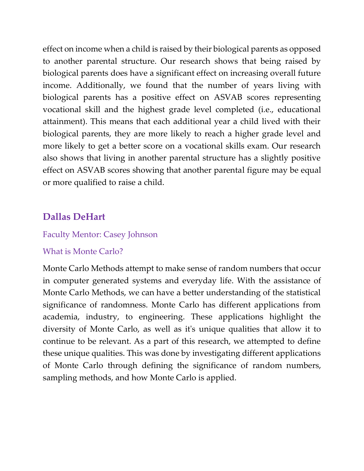effect on income when a child is raised by their biological parents as opposed to another parental structure. Our research shows that being raised by biological parents does have a significant effect on increasing overall future income. Additionally, we found that the number of years living with biological parents has a positive effect on ASVAB scores representing vocational skill and the highest grade level completed (i.e., educational attainment). This means that each additional year a child lived with their biological parents, they are more likely to reach a higher grade level and more likely to get a better score on a vocational skills exam. Our research also shows that living in another parental structure has a slightly positive effect on ASVAB scores showing that another parental figure may be equal or more qualified to raise a child.

## **Dallas DeHart**

#### Faculty Mentor: Casey Johnson

### What is Monte Carlo?

Monte Carlo Methods attempt to make sense of random numbers that occur in computer generated systems and everyday life. With the assistance of Monte Carlo Methods, we can have a better understanding of the statistical significance of randomness. Monte Carlo has different applications from academia, industry, to engineering. These applications highlight the diversity of Monte Carlo, as well as it's unique qualities that allow it to continue to be relevant. As a part of this research, we attempted to define these unique qualities. This was done by investigating different applications of Monte Carlo through defining the significance of random numbers, sampling methods, and how Monte Carlo is applied.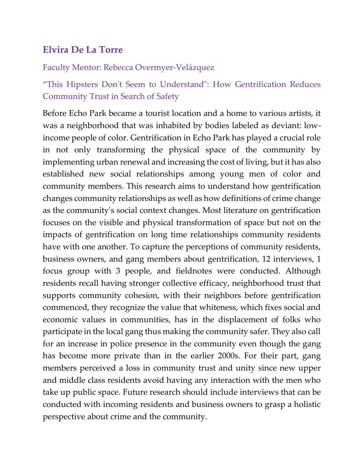# **Elvira De La Torre**

### Faculty Mentor: Rebecca Overmyer-Velázquez

"This Hipsters Don't Seem to Understand": How Gentrification Reduces Community Trust in Search of Safety

Before Echo Park became a tourist location and a home to various artists, it was a neighborhood that was inhabited by bodies labeled as deviant: lowincome people of color. Gentrification in Echo Park has played a crucial role in not only transforming the physical space of the community by implementing urban renewal and increasing the cost of living, but it has also established new social relationships among young men of color and community members. This research aims to understand how gentrification changes community relationships as well as how definitions of crime change as the community's social context changes. Most literature on gentrification focuses on the visible and physical transformation of space but not on the impacts of gentrification on long time relationships community residents have with one another. To capture the perceptions of community residents, business owners, and gang members about gentrification, 12 interviews, 1 focus group with 3 people, and fieldnotes were conducted. Although residents recall having stronger collective efficacy, neighborhood trust that supports community cohesion, with their neighbors before gentrification commenced, they recognize the value that whiteness, which fixes social and economic values in communities, has in the displacement of folks who participate in the local gang thus making the community safer. They also call for an increase in police presence in the community even though the gang has become more private than in the earlier 2000s. For their part, gang members perceived a loss in community trust and unity since new upper and middle class residents avoid having any interaction with the men who take up public space. Future research should include interviews that can be conducted with incoming residents and business owners to grasp a holistic perspective about crime and the community.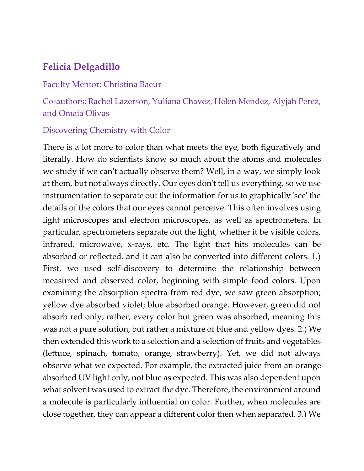# **Felicia Delgadillo**

#### Faculty Mentor: Christina Baeur

Co-authors: Rachel Lazerson, Yuliana Chavez, Helen Mendez, Alyjah Perez, and Omaia Olivas

#### Discovering Chemistry with Color

There is a lot more to color than what meets the eye, both figuratively and literally. How do scientists know so much about the atoms and molecules we study if we can't actually observe them? Well, in a way, we simply look at them, but not always directly. Our eyes don't tell us everything, so we use instrumentation to separate out the information for us to graphically 'see' the details of the colors that our eyes cannot perceive. This often involves using light microscopes and electron microscopes, as well as spectrometers. In particular, spectrometers separate out the light, whether it be visible colors, infrared, microwave, x-rays, etc. The light that hits molecules can be absorbed or reflected, and it can also be converted into different colors. 1.) First, we used self-discovery to determine the relationship between measured and observed color, beginning with simple food colors. Upon examining the absorption spectra from red dye, we saw green absorption; yellow dye absorbed violet; blue absorbed orange. However, green did not absorb red only; rather, every color but green was absorbed, meaning this was not a pure solution, but rather a mixture of blue and yellow dyes. 2.) We then extended this work to a selection and a selection of fruits and vegetables (lettuce, spinach, tomato, orange, strawberry). Yet, we did not always observe what we expected. For example, the extracted juice from an orange absorbed UV light only, not blue as expected. This was also dependent upon what solvent was used to extract the dye. Therefore, the environment around a molecule is particularly influential on color. Further, when molecules are close together, they can appear a different color then when separated. 3.) We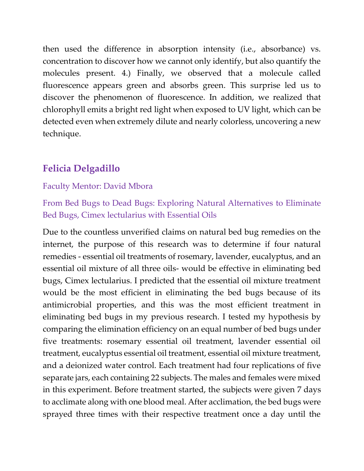then used the difference in absorption intensity (i.e., absorbance) vs. concentration to discover how we cannot only identify, but also quantify the molecules present. 4.) Finally, we observed that a molecule called fluorescence appears green and absorbs green. This surprise led us to discover the phenomenon of fluorescence. In addition, we realized that chlorophyll emits a bright red light when exposed to UV light, which can be detected even when extremely dilute and nearly colorless, uncovering a new technique.

# **Felicia Delgadillo**

#### Faculty Mentor: David Mbora

From Bed Bugs to Dead Bugs: Exploring Natural Alternatives to Eliminate Bed Bugs, Cimex lectularius with Essential Oils

Due to the countless unverified claims on natural bed bug remedies on the internet, the purpose of this research was to determine if four natural remedies - essential oil treatments of rosemary, lavender, eucalyptus, and an essential oil mixture of all three oils- would be effective in eliminating bed bugs, Cimex lectularius. I predicted that the essential oil mixture treatment would be the most efficient in eliminating the bed bugs because of its antimicrobial properties, and this was the most efficient treatment in eliminating bed bugs in my previous research. I tested my hypothesis by comparing the elimination efficiency on an equal number of bed bugs under five treatments: rosemary essential oil treatment, lavender essential oil treatment, eucalyptus essential oil treatment, essential oil mixture treatment, and a deionized water control. Each treatment had four replications of five separate jars, each containing 22 subjects. The males and females were mixed in this experiment. Before treatment started, the subjects were given 7 days to acclimate along with one blood meal. After acclimation, the bed bugs were sprayed three times with their respective treatment once a day until the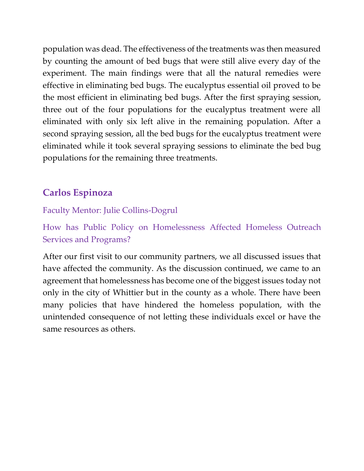population was dead. The effectiveness of the treatments was then measured by counting the amount of bed bugs that were still alive every day of the experiment. The main findings were that all the natural remedies were effective in eliminating bed bugs. The eucalyptus essential oil proved to be the most efficient in eliminating bed bugs. After the first spraying session, three out of the four populations for the eucalyptus treatment were all eliminated with only six left alive in the remaining population. After a second spraying session, all the bed bugs for the eucalyptus treatment were eliminated while it took several spraying sessions to eliminate the bed bug populations for the remaining three treatments.

# **Carlos Espinoza**

## Faculty Mentor: Julie Collins-Dogrul

How has Public Policy on Homelessness Affected Homeless Outreach Services and Programs?

After our first visit to our community partners, we all discussed issues that have affected the community. As the discussion continued, we came to an agreement that homelessness has become one of the biggest issues today not only in the city of Whittier but in the county as a whole. There have been many policies that have hindered the homeless population, with the unintended consequence of not letting these individuals excel or have the same resources as others.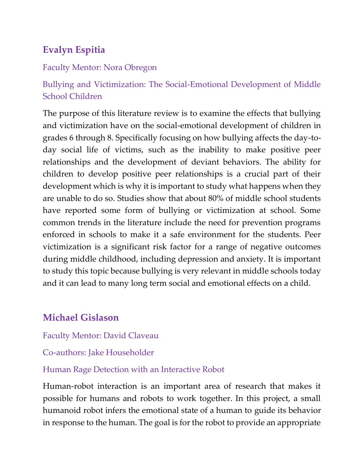# **Evalyn Espitia**

## Faculty Mentor: Nora Obregon

Bullying and Victimization: The Social-Emotional Development of Middle School Children

The purpose of this literature review is to examine the effects that bullying and victimization have on the social-emotional development of children in grades 6 through 8. Specifically focusing on how bullying affects the day-today social life of victims, such as the inability to make positive peer relationships and the development of deviant behaviors. The ability for children to develop positive peer relationships is a crucial part of their development which is why it is important to study what happens when they are unable to do so. Studies show that about 80% of middle school students have reported some form of bullying or victimization at school. Some common trends in the literature include the need for prevention programs enforced in schools to make it a safe environment for the students. Peer victimization is a significant risk factor for a range of negative outcomes during middle childhood, including depression and anxiety. It is important to study this topic because bullying is very relevant in middle schools today and it can lead to many long term social and emotional effects on a child.

# **Michael Gislason**

Faculty Mentor: David Claveau

Co-authors: Jake Householder

## Human Rage Detection with an Interactive Robot

Human-robot interaction is an important area of research that makes it possible for humans and robots to work together. In this project, a small humanoid robot infers the emotional state of a human to guide its behavior in response to the human. The goal is for the robot to provide an appropriate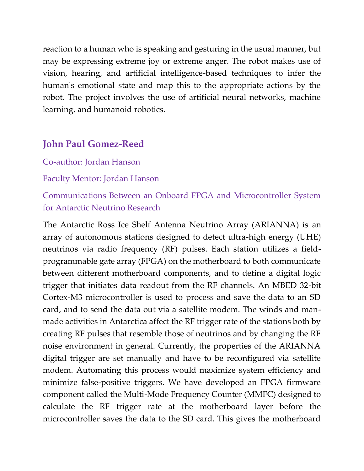reaction to a human who is speaking and gesturing in the usual manner, but may be expressing extreme joy or extreme anger. The robot makes use of vision, hearing, and artificial intelligence-based techniques to infer the human's emotional state and map this to the appropriate actions by the robot. The project involves the use of artificial neural networks, machine learning, and humanoid robotics.

# **John Paul Gomez-Reed**

### Co-author: Jordan Hanson

#### Faculty Mentor: Jordan Hanson

Communications Between an Onboard FPGA and Microcontroller System for Antarctic Neutrino Research

The Antarctic Ross Ice Shelf Antenna Neutrino Array (ARIANNA) is an array of autonomous stations designed to detect ultra-high energy (UHE) neutrinos via radio frequency (RF) pulses. Each station utilizes a fieldprogrammable gate array (FPGA) on the motherboard to both communicate between different motherboard components, and to define a digital logic trigger that initiates data readout from the RF channels. An MBED 32-bit Cortex-M3 microcontroller is used to process and save the data to an SD card, and to send the data out via a satellite modem. The winds and manmade activities in Antarctica affect the RF trigger rate of the stations both by creating RF pulses that resemble those of neutrinos and by changing the RF noise environment in general. Currently, the properties of the ARIANNA digital trigger are set manually and have to be reconfigured via satellite modem. Automating this process would maximize system efficiency and minimize false-positive triggers. We have developed an FPGA firmware component called the Multi-Mode Frequency Counter (MMFC) designed to calculate the RF trigger rate at the motherboard layer before the microcontroller saves the data to the SD card. This gives the motherboard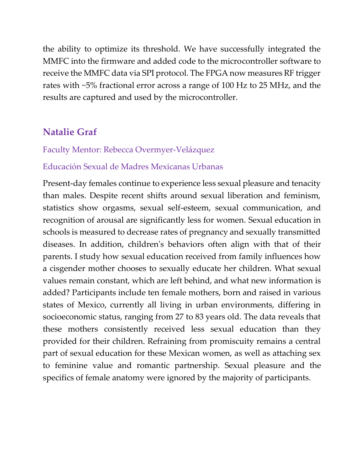the ability to optimize its threshold. We have successfully integrated the MMFC into the firmware and added code to the microcontroller software to receive the MMFC data via SPI protocol. The FPGA now measures RF trigger rates with ~5% fractional error across a range of 100 Hz to 25 MHz, and the results are captured and used by the microcontroller.

# **Natalie Graf**

## Faculty Mentor: Rebecca Overmyer-Velázquez

## Educación Sexual de Madres Mexicanas Urbanas

Present-day females continue to experience less sexual pleasure and tenacity than males. Despite recent shifts around sexual liberation and feminism, statistics show orgasms, sexual self-esteem, sexual communication, and recognition of arousal are significantly less for women. Sexual education in schools is measured to decrease rates of pregnancy and sexually transmitted diseases. In addition, children's behaviors often align with that of their parents. I study how sexual education received from family influences how a cisgender mother chooses to sexually educate her children. What sexual values remain constant, which are left behind, and what new information is added? Participants include ten female mothers, born and raised in various states of Mexico, currently all living in urban environments, differing in socioeconomic status, ranging from 27 to 83 years old. The data reveals that these mothers consistently received less sexual education than they provided for their children. Refraining from promiscuity remains a central part of sexual education for these Mexican women, as well as attaching sex to feminine value and romantic partnership. Sexual pleasure and the specifics of female anatomy were ignored by the majority of participants.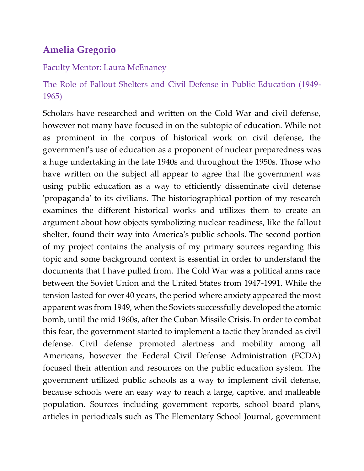# **Amelia Gregorio**

## Faculty Mentor: Laura McEnaney

# The Role of Fallout Shelters and Civil Defense in Public Education (1949- 1965)

Scholars have researched and written on the Cold War and civil defense, however not many have focused in on the subtopic of education. While not as prominent in the corpus of historical work on civil defense, the government's use of education as a proponent of nuclear preparedness was a huge undertaking in the late 1940s and throughout the 1950s. Those who have written on the subject all appear to agree that the government was using public education as a way to efficiently disseminate civil defense 'propaganda' to its civilians. The historiographical portion of my research examines the different historical works and utilizes them to create an argument about how objects symbolizing nuclear readiness, like the fallout shelter, found their way into America's public schools. The second portion of my project contains the analysis of my primary sources regarding this topic and some background context is essential in order to understand the documents that I have pulled from. The Cold War was a political arms race between the Soviet Union and the United States from 1947-1991. While the tension lasted for over 40 years, the period where anxiety appeared the most apparent was from 1949, when the Soviets successfully developed the atomic bomb, until the mid 1960s, after the Cuban Missile Crisis. In order to combat this fear, the government started to implement a tactic they branded as civil defense. Civil defense promoted alertness and mobility among all Americans, however the Federal Civil Defense Administration (FCDA) focused their attention and resources on the public education system. The government utilized public schools as a way to implement civil defense, because schools were an easy way to reach a large, captive, and malleable population. Sources including government reports, school board plans, articles in periodicals such as The Elementary School Journal, government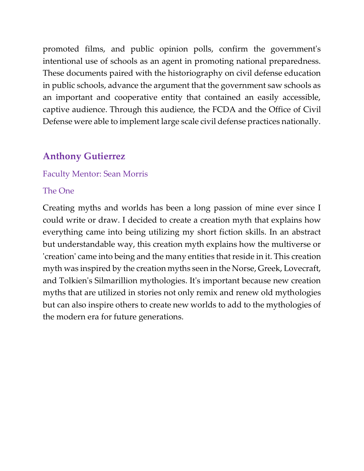promoted films, and public opinion polls, confirm the government's intentional use of schools as an agent in promoting national preparedness. These documents paired with the historiography on civil defense education in public schools, advance the argument that the government saw schools as an important and cooperative entity that contained an easily accessible, captive audience. Through this audience, the FCDA and the Office of Civil Defense were able to implement large scale civil defense practices nationally.

# **Anthony Gutierrez**

## Faculty Mentor: Sean Morris

### The One

Creating myths and worlds has been a long passion of mine ever since I could write or draw. I decided to create a creation myth that explains how everything came into being utilizing my short fiction skills. In an abstract but understandable way, this creation myth explains how the multiverse or 'creation' came into being and the many entities that reside in it. This creation myth was inspired by the creation myths seen in the Norse, Greek, Lovecraft, and Tolkien's Silmarillion mythologies. It's important because new creation myths that are utilized in stories not only remix and renew old mythologies but can also inspire others to create new worlds to add to the mythologies of the modern era for future generations.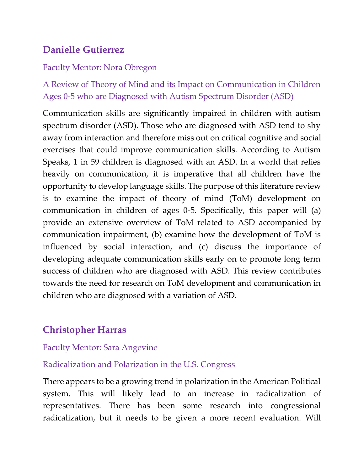# **Danielle Gutierrez**

## Faculty Mentor: Nora Obregon

A Review of Theory of Mind and its Impact on Communication in Children Ages 0-5 who are Diagnosed with Autism Spectrum Disorder (ASD)

Communication skills are significantly impaired in children with autism spectrum disorder (ASD). Those who are diagnosed with ASD tend to shy away from interaction and therefore miss out on critical cognitive and social exercises that could improve communication skills. According to Autism Speaks, 1 in 59 children is diagnosed with an ASD. In a world that relies heavily on communication, it is imperative that all children have the opportunity to develop language skills. The purpose of this literature review is to examine the impact of theory of mind (ToM) development on communication in children of ages 0-5. Specifically, this paper will (a) provide an extensive overview of ToM related to ASD accompanied by communication impairment, (b) examine how the development of ToM is influenced by social interaction, and (c) discuss the importance of developing adequate communication skills early on to promote long term success of children who are diagnosed with ASD. This review contributes towards the need for research on ToM development and communication in children who are diagnosed with a variation of ASD.

# **Christopher Harras**

## Faculty Mentor: Sara Angevine

## Radicalization and Polarization in the U.S. Congress

There appears to be a growing trend in polarization in the American Political system. This will likely lead to an increase in radicalization of representatives. There has been some research into congressional radicalization, but it needs to be given a more recent evaluation. Will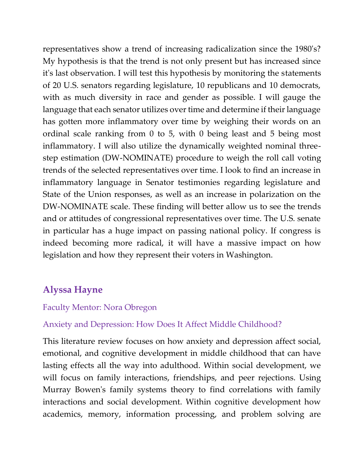representatives show a trend of increasing radicalization since the 1980's? My hypothesis is that the trend is not only present but has increased since it's last observation. I will test this hypothesis by monitoring the statements of 20 U.S. senators regarding legislature, 10 republicans and 10 democrats, with as much diversity in race and gender as possible. I will gauge the language that each senator utilizes over time and determine if their language has gotten more inflammatory over time by weighing their words on an ordinal scale ranking from 0 to 5, with 0 being least and 5 being most inflammatory. I will also utilize the dynamically weighted nominal threestep estimation (DW-NOMINATE) procedure to weigh the roll call voting trends of the selected representatives over time. I look to find an increase in inflammatory language in Senator testimonies regarding legislature and State of the Union responses, as well as an increase in polarization on the DW-NOMINATE scale. These finding will better allow us to see the trends and or attitudes of congressional representatives over time. The U.S. senate in particular has a huge impact on passing national policy. If congress is indeed becoming more radical, it will have a massive impact on how legislation and how they represent their voters in Washington.

# **Alyssa Hayne**

## Faculty Mentor: Nora Obregon

## Anxiety and Depression: How Does It Affect Middle Childhood?

This literature review focuses on how anxiety and depression affect social, emotional, and cognitive development in middle childhood that can have lasting effects all the way into adulthood. Within social development, we will focus on family interactions, friendships, and peer rejections. Using Murray Bowen's family systems theory to find correlations with family interactions and social development. Within cognitive development how academics, memory, information processing, and problem solving are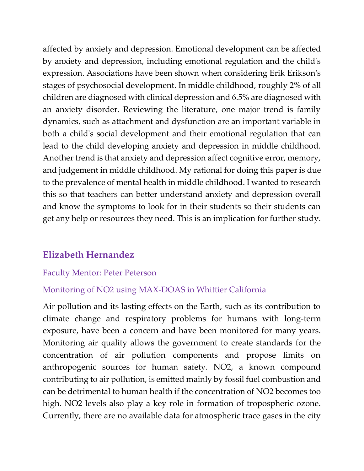affected by anxiety and depression. Emotional development can be affected by anxiety and depression, including emotional regulation and the child's expression. Associations have been shown when considering Erik Erikson's stages of psychosocial development. In middle childhood, roughly 2% of all children are diagnosed with clinical depression and 6.5% are diagnosed with an anxiety disorder. Reviewing the literature, one major trend is family dynamics, such as attachment and dysfunction are an important variable in both a child's social development and their emotional regulation that can lead to the child developing anxiety and depression in middle childhood. Another trend is that anxiety and depression affect cognitive error, memory, and judgement in middle childhood. My rational for doing this paper is due to the prevalence of mental health in middle childhood. I wanted to research this so that teachers can better understand anxiety and depression overall and know the symptoms to look for in their students so their students can get any help or resources they need. This is an implication for further study.

# **Elizabeth Hernandez**

## Faculty Mentor: Peter Peterson

## Monitoring of NO2 using MAX-DOAS in Whittier California

Air pollution and its lasting effects on the Earth, such as its contribution to climate change and respiratory problems for humans with long-term exposure, have been a concern and have been monitored for many years. Monitoring air quality allows the government to create standards for the concentration of air pollution components and propose limits on anthropogenic sources for human safety. NO2, a known compound contributing to air pollution, is emitted mainly by fossil fuel combustion and can be detrimental to human health if the concentration of NO2 becomes too high. NO2 levels also play a key role in formation of tropospheric ozone. Currently, there are no available data for atmospheric trace gases in the city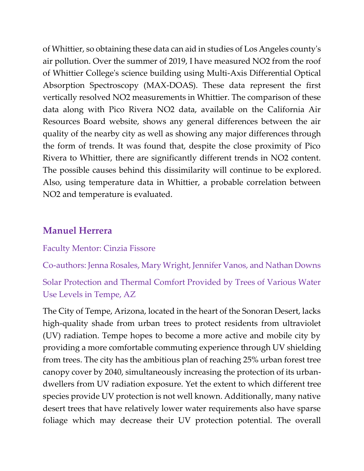of Whittier, so obtaining these data can aid in studies of Los Angeles county's air pollution. Over the summer of 2019, I have measured NO2 from the roof of Whittier College's science building using Multi-Axis Differential Optical Absorption Spectroscopy (MAX-DOAS). These data represent the first vertically resolved NO2 measurements in Whittier. The comparison of these data along with Pico Rivera NO2 data, available on the California Air Resources Board website, shows any general differences between the air quality of the nearby city as well as showing any major differences through the form of trends. It was found that, despite the close proximity of Pico Rivera to Whittier, there are significantly different trends in NO2 content. The possible causes behind this dissimilarity will continue to be explored. Also, using temperature data in Whittier, a probable correlation between NO2 and temperature is evaluated.

# **Manuel Herrera**

#### Faculty Mentor: Cinzia Fissore

Co-authors: Jenna Rosales, Mary Wright, Jennifer Vanos, and Nathan Downs

Solar Protection and Thermal Comfort Provided by Trees of Various Water Use Levels in Tempe, AZ

The City of Tempe, Arizona, located in the heart of the Sonoran Desert, lacks high-quality shade from urban trees to protect residents from ultraviolet (UV) radiation. Tempe hopes to become a more active and mobile city by providing a more comfortable commuting experience through UV shielding from trees. The city has the ambitious plan of reaching 25% urban forest tree canopy cover by 2040, simultaneously increasing the protection of its urbandwellers from UV radiation exposure. Yet the extent to which different tree species provide UV protection is not well known. Additionally, many native desert trees that have relatively lower water requirements also have sparse foliage which may decrease their UV protection potential. The overall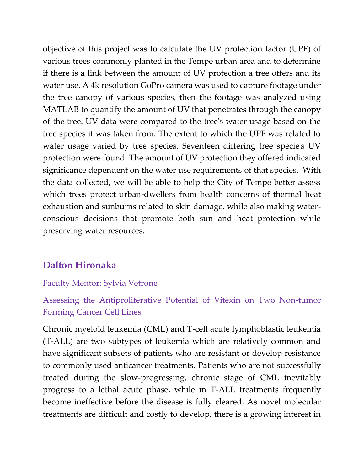objective of this project was to calculate the UV protection factor (UPF) of various trees commonly planted in the Tempe urban area and to determine if there is a link between the amount of UV protection a tree offers and its water use. A 4k resolution GoPro camera was used to capture footage under the tree canopy of various species, then the footage was analyzed using MATLAB to quantify the amount of UV that penetrates through the canopy of the tree. UV data were compared to the tree's water usage based on the tree species it was taken from. The extent to which the UPF was related to water usage varied by tree species. Seventeen differing tree specie's UV protection were found. The amount of UV protection they offered indicated significance dependent on the water use requirements of that species. With the data collected, we will be able to help the City of Tempe better assess which trees protect urban-dwellers from health concerns of thermal heat exhaustion and sunburns related to skin damage, while also making waterconscious decisions that promote both sun and heat protection while preserving water resources.

# **Dalton Hironaka**

## Faculty Mentor: Sylvia Vetrone

# Assessing the Antiproliferative Potential of Vitexin on Two Non-tumor Forming Cancer Cell Lines

Chronic myeloid leukemia (CML) and T-cell acute lymphoblastic leukemia (T-ALL) are two subtypes of leukemia which are relatively common and have significant subsets of patients who are resistant or develop resistance to commonly used anticancer treatments. Patients who are not successfully treated during the slow-progressing, chronic stage of CML inevitably progress to a lethal acute phase, while in T-ALL treatments frequently become ineffective before the disease is fully cleared. As novel molecular treatments are difficult and costly to develop, there is a growing interest in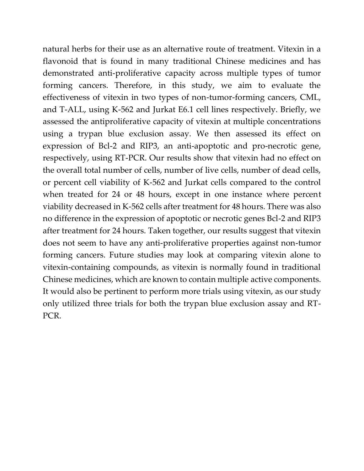natural herbs for their use as an alternative route of treatment. Vitexin in a flavonoid that is found in many traditional Chinese medicines and has demonstrated anti-proliferative capacity across multiple types of tumor forming cancers. Therefore, in this study, we aim to evaluate the effectiveness of vitexin in two types of non-tumor-forming cancers, CML, and T-ALL, using K-562 and Jurkat E6.1 cell lines respectively. Briefly, we assessed the antiproliferative capacity of vitexin at multiple concentrations using a trypan blue exclusion assay. We then assessed its effect on expression of Bcl-2 and RIP3, an anti-apoptotic and pro-necrotic gene, respectively, using RT-PCR. Our results show that vitexin had no effect on the overall total number of cells, number of live cells, number of dead cells, or percent cell viability of K-562 and Jurkat cells compared to the control when treated for 24 or 48 hours, except in one instance where percent viability decreased in K-562 cells after treatment for 48 hours. There was also no difference in the expression of apoptotic or necrotic genes Bcl-2 and RIP3 after treatment for 24 hours. Taken together, our results suggest that vitexin does not seem to have any anti-proliferative properties against non-tumor forming cancers. Future studies may look at comparing vitexin alone to vitexin-containing compounds, as vitexin is normally found in traditional Chinese medicines, which are known to contain multiple active components. It would also be pertinent to perform more trials using vitexin, as our study only utilized three trials for both the trypan blue exclusion assay and RT-PCR.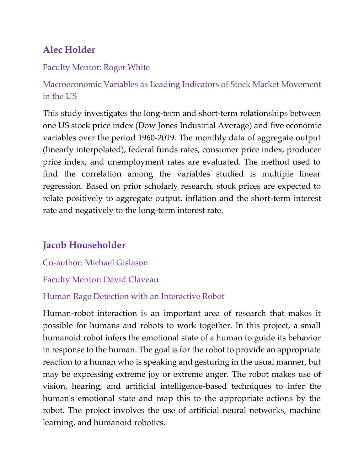# **Alec Holder**

## Faculty Mentor: Roger White

Macroeconomic Variables as Leading Indicators of Stock Market Movement in the US

This study investigates the long-term and short-term relationships between one US stock price index (Dow Jones Industrial Average) and five economic variables over the period 1960-2019. The monthly data of aggregate output (linearly interpolated), federal funds rates, consumer price index, producer price index, and unemployment rates are evaluated. The method used to find the correlation among the variables studied is multiple linear regression. Based on prior scholarly research, stock prices are expected to relate positively to aggregate output, inflation and the short-term interest rate and negatively to the long-term interest rate.

# **Jacob Householder**

Co-author: Michael Gislason

## Faculty Mentor: David Claveau

# Human Rage Detection with an Interactive Robot

Human-robot interaction is an important area of research that makes it possible for humans and robots to work together. In this project, a small humanoid robot infers the emotional state of a human to guide its behavior in response to the human. The goal is for the robot to provide an appropriate reaction to a human who is speaking and gesturing in the usual manner, but may be expressing extreme joy or extreme anger. The robot makes use of vision, hearing, and artificial intelligence-based techniques to infer the human's emotional state and map this to the appropriate actions by the robot. The project involves the use of artificial neural networks, machine learning, and humanoid robotics.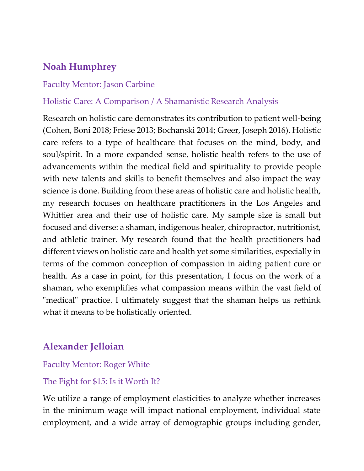# **Noah Humphrey**

## Faculty Mentor: Jason Carbine

### Holistic Care: A Comparison / A Shamanistic Research Analysis

Research on holistic care demonstrates its contribution to patient well-being (Cohen, Boni 2018; Friese 2013; Bochanski 2014; Greer, Joseph 2016). Holistic care refers to a type of healthcare that focuses on the mind, body, and soul/spirit. In a more expanded sense, holistic health refers to the use of advancements within the medical field and spirituality to provide people with new talents and skills to benefit themselves and also impact the way science is done. Building from these areas of holistic care and holistic health, my research focuses on healthcare practitioners in the Los Angeles and Whittier area and their use of holistic care. My sample size is small but focused and diverse: a shaman, indigenous healer, chiropractor, nutritionist, and athletic trainer. My research found that the health practitioners had different views on holistic care and health yet some similarities, especially in terms of the common conception of compassion in aiding patient cure or health. As a case in point, for this presentation, I focus on the work of a shaman, who exemplifies what compassion means within the vast field of "medical" practice. I ultimately suggest that the shaman helps us rethink what it means to be holistically oriented.

# **Alexander Jelloian**

#### Faculty Mentor: Roger White

#### The Fight for \$15: Is it Worth It?

We utilize a range of employment elasticities to analyze whether increases in the minimum wage will impact national employment, individual state employment, and a wide array of demographic groups including gender,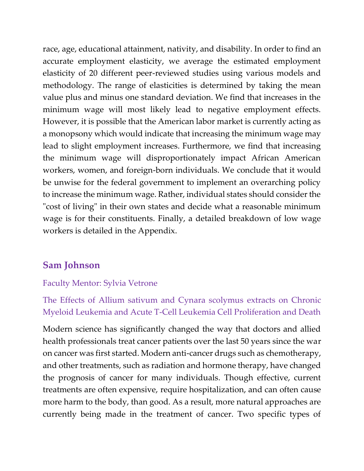race, age, educational attainment, nativity, and disability. In order to find an accurate employment elasticity, we average the estimated employment elasticity of 20 different peer-reviewed studies using various models and methodology. The range of elasticities is determined by taking the mean value plus and minus one standard deviation. We find that increases in the minimum wage will most likely lead to negative employment effects. However, it is possible that the American labor market is currently acting as a monopsony which would indicate that increasing the minimum wage may lead to slight employment increases. Furthermore, we find that increasing the minimum wage will disproportionately impact African American workers, women, and foreign-born individuals. We conclude that it would be unwise for the federal government to implement an overarching policy to increase the minimum wage. Rather, individual states should consider the "cost of living" in their own states and decide what a reasonable minimum wage is for their constituents. Finally, a detailed breakdown of low wage workers is detailed in the Appendix.

# **Sam Johnson**

## Faculty Mentor: Sylvia Vetrone

# The Effects of Allium sativum and Cynara scolymus extracts on Chronic Myeloid Leukemia and Acute T-Cell Leukemia Cell Proliferation and Death

Modern science has significantly changed the way that doctors and allied health professionals treat cancer patients over the last 50 years since the war on cancer was first started. Modern anti-cancer drugs such as chemotherapy, and other treatments, such as radiation and hormone therapy, have changed the prognosis of cancer for many individuals. Though effective, current treatments are often expensive, require hospitalization, and can often cause more harm to the body, than good. As a result, more natural approaches are currently being made in the treatment of cancer. Two specific types of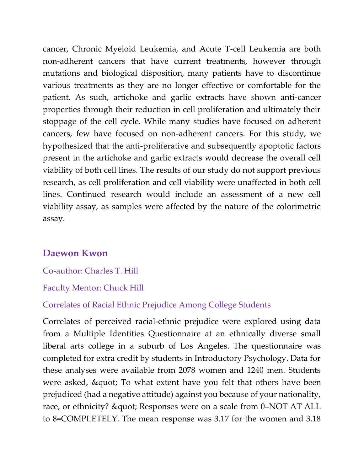cancer, Chronic Myeloid Leukemia, and Acute T-cell Leukemia are both non-adherent cancers that have current treatments, however through mutations and biological disposition, many patients have to discontinue various treatments as they are no longer effective or comfortable for the patient. As such, artichoke and garlic extracts have shown anti-cancer properties through their reduction in cell proliferation and ultimately their stoppage of the cell cycle. While many studies have focused on adherent cancers, few have focused on non-adherent cancers. For this study, we hypothesized that the anti-proliferative and subsequently apoptotic factors present in the artichoke and garlic extracts would decrease the overall cell viability of both cell lines. The results of our study do not support previous research, as cell proliferation and cell viability were unaffected in both cell lines. Continued research would include an assessment of a new cell viability assay, as samples were affected by the nature of the colorimetric assay.

# **Daewon Kwon**

Co-author: Charles T. Hill

Faculty Mentor: Chuck Hill

## Correlates of Racial Ethnic Prejudice Among College Students

Correlates of perceived racial-ethnic prejudice were explored using data from a Multiple Identities Questionnaire at an ethnically diverse small liberal arts college in a suburb of Los Angeles. The questionnaire was completed for extra credit by students in Introductory Psychology. Data for these analyses were available from 2078 women and 1240 men. Students were asked, & quot; To what extent have you felt that others have been prejudiced (had a negative attitude) against you because of your nationality, race, or ethnicity? & quot; Responses were on a scale from 0=NOT AT ALL to 8=COMPLETELY. The mean response was 3.17 for the women and 3.18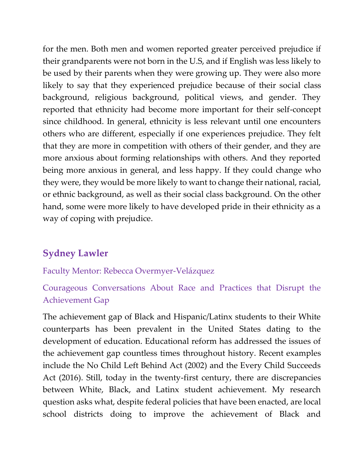for the men. Both men and women reported greater perceived prejudice if their grandparents were not born in the U.S, and if English was less likely to be used by their parents when they were growing up. They were also more likely to say that they experienced prejudice because of their social class background, religious background, political views, and gender. They reported that ethnicity had become more important for their self-concept since childhood. In general, ethnicity is less relevant until one encounters others who are different, especially if one experiences prejudice. They felt that they are more in competition with others of their gender, and they are more anxious about forming relationships with others. And they reported being more anxious in general, and less happy. If they could change who they were, they would be more likely to want to change their national, racial, or ethnic background, as well as their social class background. On the other hand, some were more likely to have developed pride in their ethnicity as a way of coping with prejudice.

# **Sydney Lawler**

## Faculty Mentor: Rebecca Overmyer-Velázquez

Courageous Conversations About Race and Practices that Disrupt the Achievement Gap

The achievement gap of Black and Hispanic/Latinx students to their White counterparts has been prevalent in the United States dating to the development of education. Educational reform has addressed the issues of the achievement gap countless times throughout history. Recent examples include the No Child Left Behind Act (2002) and the Every Child Succeeds Act (2016). Still, today in the twenty-first century, there are discrepancies between White, Black, and Latinx student achievement. My research question asks what, despite federal policies that have been enacted, are local school districts doing to improve the achievement of Black and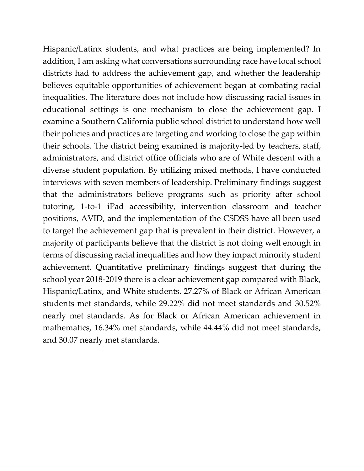Hispanic/Latinx students, and what practices are being implemented? In addition, I am asking what conversations surrounding race have local school districts had to address the achievement gap, and whether the leadership believes equitable opportunities of achievement began at combating racial inequalities. The literature does not include how discussing racial issues in educational settings is one mechanism to close the achievement gap. I examine a Southern California public school district to understand how well their policies and practices are targeting and working to close the gap within their schools. The district being examined is majority-led by teachers, staff, administrators, and district office officials who are of White descent with a diverse student population. By utilizing mixed methods, I have conducted interviews with seven members of leadership. Preliminary findings suggest that the administrators believe programs such as priority after school tutoring, 1-to-1 iPad accessibility, intervention classroom and teacher positions, AVID, and the implementation of the CSDSS have all been used to target the achievement gap that is prevalent in their district. However, a majority of participants believe that the district is not doing well enough in terms of discussing racial inequalities and how they impact minority student achievement. Quantitative preliminary findings suggest that during the school year 2018-2019 there is a clear achievement gap compared with Black, Hispanic/Latinx, and White students. 27.27% of Black or African American students met standards, while 29.22% did not meet standards and 30.52% nearly met standards. As for Black or African American achievement in mathematics, 16.34% met standards, while 44.44% did not meet standards, and 30.07 nearly met standards.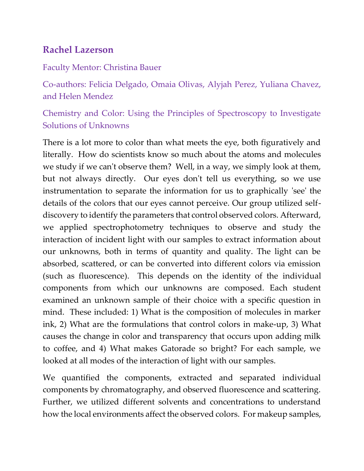# **Rachel Lazerson**

## Faculty Mentor: Christina Bauer

Co-authors: Felicia Delgado, Omaia Olivas, Alyjah Perez, Yuliana Chavez, and Helen Mendez

Chemistry and Color: Using the Principles of Spectroscopy to Investigate Solutions of Unknowns

There is a lot more to color than what meets the eye, both figuratively and literally. How do scientists know so much about the atoms and molecules we study if we can't observe them? Well, in a way, we simply look at them, but not always directly. Our eyes don't tell us everything, so we use instrumentation to separate the information for us to graphically 'see' the details of the colors that our eyes cannot perceive. Our group utilized selfdiscovery to identify the parameters that control observed colors. Afterward, we applied spectrophotometry techniques to observe and study the interaction of incident light with our samples to extract information about our unknowns, both in terms of quantity and quality. The light can be absorbed, scattered, or can be converted into different colors via emission (such as fluorescence). This depends on the identity of the individual components from which our unknowns are composed. Each student examined an unknown sample of their choice with a specific question in mind. These included: 1) What is the composition of molecules in marker ink, 2) What are the formulations that control colors in make-up, 3) What causes the change in color and transparency that occurs upon adding milk to coffee, and 4) What makes Gatorade so bright? For each sample, we looked at all modes of the interaction of light with our samples.

We quantified the components, extracted and separated individual components by chromatography, and observed fluorescence and scattering. Further, we utilized different solvents and concentrations to understand how the local environments affect the observed colors. For makeup samples,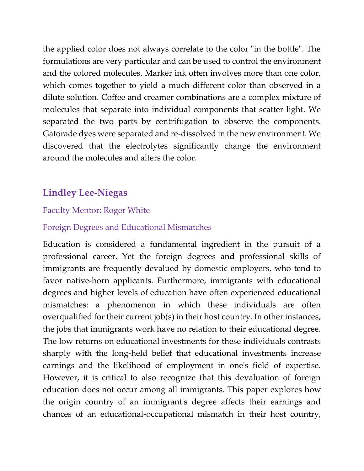the applied color does not always correlate to the color "in the bottle". The formulations are very particular and can be used to control the environment and the colored molecules. Marker ink often involves more than one color, which comes together to yield a much different color than observed in a dilute solution. Coffee and creamer combinations are a complex mixture of molecules that separate into individual components that scatter light. We separated the two parts by centrifugation to observe the components. Gatorade dyes were separated and re-dissolved in the new environment. We discovered that the electrolytes significantly change the environment around the molecules and alters the color.

# **Lindley Lee-Niegas**

## Faculty Mentor: Roger White

## Foreign Degrees and Educational Mismatches

Education is considered a fundamental ingredient in the pursuit of a professional career. Yet the foreign degrees and professional skills of immigrants are frequently devalued by domestic employers, who tend to favor native-born applicants. Furthermore, immigrants with educational degrees and higher levels of education have often experienced educational mismatches: a phenomenon in which these individuals are often overqualified for their current job(s) in their host country. In other instances, the jobs that immigrants work have no relation to their educational degree. The low returns on educational investments for these individuals contrasts sharply with the long-held belief that educational investments increase earnings and the likelihood of employment in one's field of expertise. However, it is critical to also recognize that this devaluation of foreign education does not occur among all immigrants. This paper explores how the origin country of an immigrant's degree affects their earnings and chances of an educational-occupational mismatch in their host country,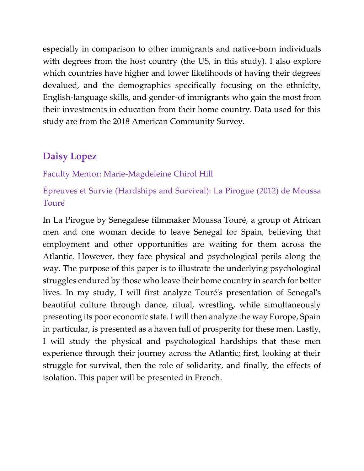especially in comparison to other immigrants and native-born individuals with degrees from the host country (the US, in this study). I also explore which countries have higher and lower likelihoods of having their degrees devalued, and the demographics specifically focusing on the ethnicity, English-language skills, and gender-of immigrants who gain the most from their investments in education from their home country. Data used for this study are from the 2018 American Community Survey.

# **Daisy Lopez**

## Faculty Mentor: Marie-Magdeleine Chirol Hill

# Épreuves et Survie (Hardships and Survival): La Pirogue (2012) de Moussa Touré

In La Pirogue by Senegalese filmmaker Moussa Touré, a group of African men and one woman decide to leave Senegal for Spain, believing that employment and other opportunities are waiting for them across the Atlantic. However, they face physical and psychological perils along the way. The purpose of this paper is to illustrate the underlying psychological struggles endured by those who leave their home country in search for better lives. In my study, I will first analyze Touré's presentation of Senegal's beautiful culture through dance, ritual, wrestling, while simultaneously presenting its poor economic state. I will then analyze the way Europe, Spain in particular, is presented as a haven full of prosperity for these men. Lastly, I will study the physical and psychological hardships that these men experience through their journey across the Atlantic; first, looking at their struggle for survival, then the role of solidarity, and finally, the effects of isolation. This paper will be presented in French.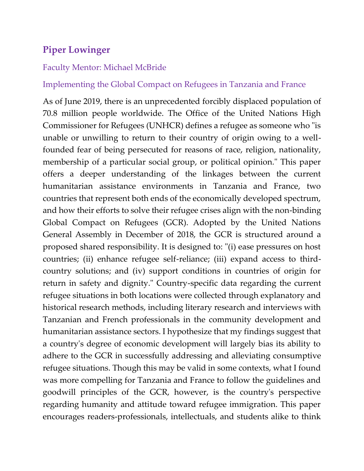# **Piper Lowinger**

#### Faculty Mentor: Michael McBride

### Implementing the Global Compact on Refugees in Tanzania and France

As of June 2019, there is an unprecedented forcibly displaced population of 70.8 million people worldwide. The Office of the United Nations High Commissioner for Refugees (UNHCR) defines a refugee as someone who "is unable or unwilling to return to their country of origin owing to a wellfounded fear of being persecuted for reasons of race, religion, nationality, membership of a particular social group, or political opinion." This paper offers a deeper understanding of the linkages between the current humanitarian assistance environments in Tanzania and France, two countries that represent both ends of the economically developed spectrum, and how their efforts to solve their refugee crises align with the non-binding Global Compact on Refugees (GCR). Adopted by the United Nations General Assembly in December of 2018, the GCR is structured around a proposed shared responsibility. It is designed to: "(i) ease pressures on host countries; (ii) enhance refugee self-reliance; (iii) expand access to thirdcountry solutions; and (iv) support conditions in countries of origin for return in safety and dignity." Country-specific data regarding the current refugee situations in both locations were collected through explanatory and historical research methods, including literary research and interviews with Tanzanian and French professionals in the community development and humanitarian assistance sectors. I hypothesize that my findings suggest that a country's degree of economic development will largely bias its ability to adhere to the GCR in successfully addressing and alleviating consumptive refugee situations. Though this may be valid in some contexts, what I found was more compelling for Tanzania and France to follow the guidelines and goodwill principles of the GCR, however, is the country's perspective regarding humanity and attitude toward refugee immigration. This paper encourages readers-professionals, intellectuals, and students alike to think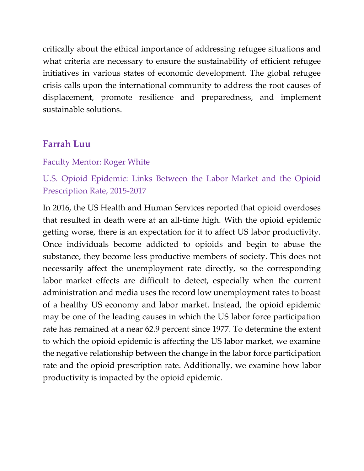critically about the ethical importance of addressing refugee situations and what criteria are necessary to ensure the sustainability of efficient refugee initiatives in various states of economic development. The global refugee crisis calls upon the international community to address the root causes of displacement, promote resilience and preparedness, and implement sustainable solutions.

## **Farrah Luu**

#### Faculty Mentor: Roger White

# U.S. Opioid Epidemic: Links Between the Labor Market and the Opioid Prescription Rate, 2015-2017

In 2016, the US Health and Human Services reported that opioid overdoses that resulted in death were at an all-time high. With the opioid epidemic getting worse, there is an expectation for it to affect US labor productivity. Once individuals become addicted to opioids and begin to abuse the substance, they become less productive members of society. This does not necessarily affect the unemployment rate directly, so the corresponding labor market effects are difficult to detect, especially when the current administration and media uses the record low unemployment rates to boast of a healthy US economy and labor market. Instead, the opioid epidemic may be one of the leading causes in which the US labor force participation rate has remained at a near 62.9 percent since 1977. To determine the extent to which the opioid epidemic is affecting the US labor market, we examine the negative relationship between the change in the labor force participation rate and the opioid prescription rate. Additionally, we examine how labor productivity is impacted by the opioid epidemic.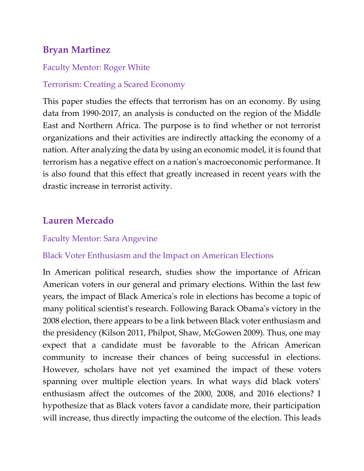# **Bryan Martinez**

### Faculty Mentor: Roger White

### Terrorism: Creating a Scared Economy

This paper studies the effects that terrorism has on an economy. By using data from 1990-2017, an analysis is conducted on the region of the Middle East and Northern Africa. The purpose is to find whether or not terrorist organizations and their activities are indirectly attacking the economy of a nation. After analyzing the data by using an economic model, it is found that terrorism has a negative effect on a nation's macroeconomic performance. It is also found that this effect that greatly increased in recent years with the drastic increase in terrorist activity.

# **Lauren Mercado**

### Faculty Mentor: Sara Angevine

## Black Voter Enthusiasm and the Impact on American Elections

In American political research, studies show the importance of African American voters in our general and primary elections. Within the last few years, the impact of Black America's role in elections has become a topic of many political scientist's research. Following Barack Obama's victory in the 2008 election, there appears to be a link between Black voter enthusiasm and the presidency (Kilson 2011, Philpot, Shaw, McGowen 2009). Thus, one may expect that a candidate must be favorable to the African American community to increase their chances of being successful in elections. However, scholars have not yet examined the impact of these voters spanning over multiple election years. In what ways did black voters' enthusiasm affect the outcomes of the 2000, 2008, and 2016 elections? I hypothesize that as Black voters favor a candidate more, their participation will increase, thus directly impacting the outcome of the election. This leads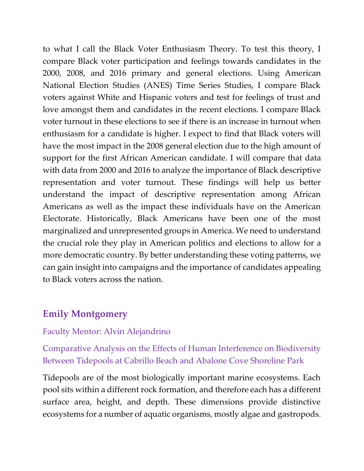to what I call the Black Voter Enthusiasm Theory. To test this theory, I compare Black voter participation and feelings towards candidates in the 2000, 2008, and 2016 primary and general elections. Using American National Election Studies (ANES) Time Series Studies, I compare Black voters against White and Hispanic voters and test for feelings of trust and love amongst them and candidates in the recent elections. I compare Black voter turnout in these elections to see if there is an increase in turnout when enthusiasm for a candidate is higher. I expect to find that Black voters will have the most impact in the 2008 general election due to the high amount of support for the first African American candidate. I will compare that data with data from 2000 and 2016 to analyze the importance of Black descriptive representation and voter turnout. These findings will help us better understand the impact of descriptive representation among African Americans as well as the impact these individuals have on the American Electorate. Historically, Black Americans have been one of the most marginalized and unrepresented groups in America. We need to understand the crucial role they play in American politics and elections to allow for a more democratic country. By better understanding these voting patterns, we can gain insight into campaigns and the importance of candidates appealing to Black voters across the nation.

# **Emily Montgomery**

## Faculty Mentor: Alvin Alejandrino

Comparative Analysis on the Effects of Human Interference on Biodiversity Between Tidepools at Cabrillo Beach and Abalone Cove Shoreline Park

Tidepools are of the most biologically important marine ecosystems. Each pool sits within a different rock formation, and therefore each has a different surface area, height, and depth. These dimensions provide distinctive ecosystems for a number of aquatic organisms, mostly algae and gastropods.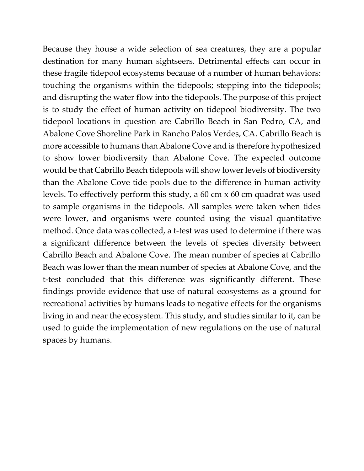Because they house a wide selection of sea creatures, they are a popular destination for many human sightseers. Detrimental effects can occur in these fragile tidepool ecosystems because of a number of human behaviors: touching the organisms within the tidepools; stepping into the tidepools; and disrupting the water flow into the tidepools. The purpose of this project is to study the effect of human activity on tidepool biodiversity. The two tidepool locations in question are Cabrillo Beach in San Pedro, CA, and Abalone Cove Shoreline Park in Rancho Palos Verdes, CA. Cabrillo Beach is more accessible to humans than Abalone Cove and is therefore hypothesized to show lower biodiversity than Abalone Cove. The expected outcome would be that Cabrillo Beach tidepools will show lower levels of biodiversity than the Abalone Cove tide pools due to the difference in human activity levels. To effectively perform this study, a 60 cm x 60 cm quadrat was used to sample organisms in the tidepools. All samples were taken when tides were lower, and organisms were counted using the visual quantitative method. Once data was collected, a t-test was used to determine if there was a significant difference between the levels of species diversity between Cabrillo Beach and Abalone Cove. The mean number of species at Cabrillo Beach was lower than the mean number of species at Abalone Cove, and the t-test concluded that this difference was significantly different. These findings provide evidence that use of natural ecosystems as a ground for recreational activities by humans leads to negative effects for the organisms living in and near the ecosystem. This study, and studies similar to it, can be used to guide the implementation of new regulations on the use of natural spaces by humans.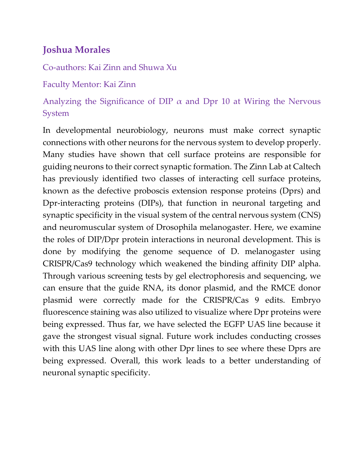# **Joshua Morales**

Co-authors: Kai Zinn and Shuwa Xu

Faculty Mentor: Kai Zinn

# Analyzing the Significance of DIP  $\alpha$  and Dpr 10 at Wiring the Nervous System

In developmental neurobiology, neurons must make correct synaptic connections with other neurons for the nervous system to develop properly. Many studies have shown that cell surface proteins are responsible for guiding neurons to their correct synaptic formation. The Zinn Lab at Caltech has previously identified two classes of interacting cell surface proteins, known as the defective proboscis extension response proteins (Dprs) and Dpr-interacting proteins (DIPs), that function in neuronal targeting and synaptic specificity in the visual system of the central nervous system (CNS) and neuromuscular system of Drosophila melanogaster. Here, we examine the roles of DIP/Dpr protein interactions in neuronal development. This is done by modifying the genome sequence of D. melanogaster using CRISPR/Cas9 technology which weakened the binding affinity DIP alpha. Through various screening tests by gel electrophoresis and sequencing, we can ensure that the guide RNA, its donor plasmid, and the RMCE donor plasmid were correctly made for the CRISPR/Cas 9 edits. Embryo fluorescence staining was also utilized to visualize where Dpr proteins were being expressed. Thus far, we have selected the EGFP UAS line because it gave the strongest visual signal. Future work includes conducting crosses with this UAS line along with other Dpr lines to see where these Dprs are being expressed. Overall, this work leads to a better understanding of neuronal synaptic specificity.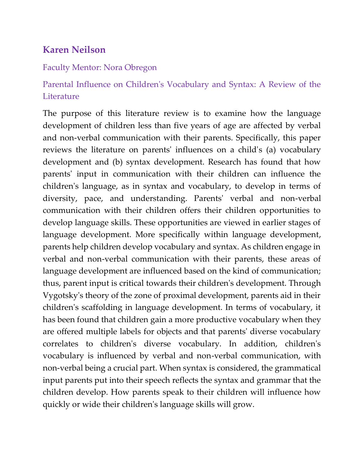# **Karen Neilson**

## Faculty Mentor: Nora Obregon

# Parental Influence on Children's Vocabulary and Syntax: A Review of the **Literature**

The purpose of this literature review is to examine how the language development of children less than five years of age are affected by verbal and non-verbal communication with their parents. Specifically, this paper reviews the literature on parents' influences on a child's (a) vocabulary development and (b) syntax development. Research has found that how parents' input in communication with their children can influence the children's language, as in syntax and vocabulary, to develop in terms of diversity, pace, and understanding. Parents' verbal and non-verbal communication with their children offers their children opportunities to develop language skills. These opportunities are viewed in earlier stages of language development. More specifically within language development, parents help children develop vocabulary and syntax. As children engage in verbal and non-verbal communication with their parents, these areas of language development are influenced based on the kind of communication; thus, parent input is critical towards their children's development. Through Vygotsky's theory of the zone of proximal development, parents aid in their children's scaffolding in language development. In terms of vocabulary, it has been found that children gain a more productive vocabulary when they are offered multiple labels for objects and that parents' diverse vocabulary correlates to children's diverse vocabulary. In addition, children's vocabulary is influenced by verbal and non-verbal communication, with non-verbal being a crucial part. When syntax is considered, the grammatical input parents put into their speech reflects the syntax and grammar that the children develop. How parents speak to their children will influence how quickly or wide their children's language skills will grow.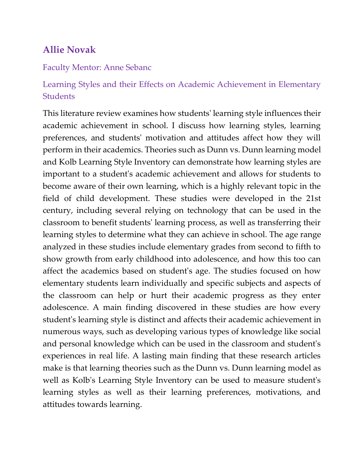# **Allie Novak**

#### Faculty Mentor: Anne Sebanc

# Learning Styles and their Effects on Academic Achievement in Elementary **Students**

This literature review examines how students' learning style influences their academic achievement in school. I discuss how learning styles, learning preferences, and students' motivation and attitudes affect how they will perform in their academics. Theories such as Dunn vs. Dunn learning model and Kolb Learning Style Inventory can demonstrate how learning styles are important to a student's academic achievement and allows for students to become aware of their own learning, which is a highly relevant topic in the field of child development. These studies were developed in the 21st century, including several relying on technology that can be used in the classroom to benefit students' learning process, as well as transferring their learning styles to determine what they can achieve in school. The age range analyzed in these studies include elementary grades from second to fifth to show growth from early childhood into adolescence, and how this too can affect the academics based on student's age. The studies focused on how elementary students learn individually and specific subjects and aspects of the classroom can help or hurt their academic progress as they enter adolescence. A main finding discovered in these studies are how every student's learning style is distinct and affects their academic achievement in numerous ways, such as developing various types of knowledge like social and personal knowledge which can be used in the classroom and student's experiences in real life. A lasting main finding that these research articles make is that learning theories such as the Dunn vs. Dunn learning model as well as Kolb's Learning Style Inventory can be used to measure student's learning styles as well as their learning preferences, motivations, and attitudes towards learning.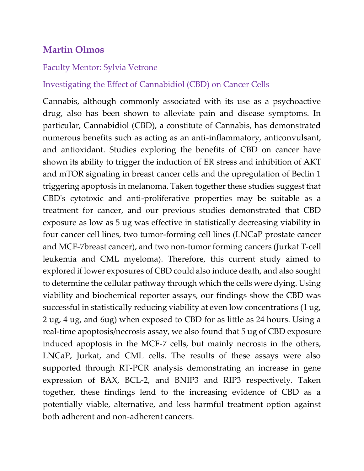# **Martin Olmos**

#### Faculty Mentor: Sylvia Vetrone

## Investigating the Effect of Cannabidiol (CBD) on Cancer Cells

Cannabis, although commonly associated with its use as a psychoactive drug, also has been shown to alleviate pain and disease symptoms. In particular, Cannabidiol (CBD), a constitute of Cannabis, has demonstrated numerous benefits such as acting as an anti-inflammatory, anticonvulsant, and antioxidant. Studies exploring the benefits of CBD on cancer have shown its ability to trigger the induction of ER stress and inhibition of AKT and mTOR signaling in breast cancer cells and the upregulation of Beclin 1 triggering apoptosis in melanoma. Taken together these studies suggest that CBD's cytotoxic and anti-proliferative properties may be suitable as a treatment for cancer, and our previous studies demonstrated that CBD exposure as low as 5 ug was effective in statistically decreasing viability in four cancer cell lines, two tumor-forming cell lines (LNCaP prostate cancer and MCF-7breast cancer), and two non-tumor forming cancers (Jurkat T-cell leukemia and CML myeloma). Therefore, this current study aimed to explored if lower exposures of CBD could also induce death, and also sought to determine the cellular pathway through which the cells were dying. Using viability and biochemical reporter assays, our findings show the CBD was successful in statistically reducing viability at even low concentrations (1 ug, 2 ug, 4 ug, and 6ug) when exposed to CBD for as little as 24 hours. Using a real-time apoptosis/necrosis assay, we also found that 5 ug of CBD exposure induced apoptosis in the MCF-7 cells, but mainly necrosis in the others, LNCaP, Jurkat, and CML cells. The results of these assays were also supported through RT-PCR analysis demonstrating an increase in gene expression of BAX, BCL-2, and BNIP3 and RIP3 respectively. Taken together, these findings lend to the increasing evidence of CBD as a potentially viable, alternative, and less harmful treatment option against both adherent and non-adherent cancers.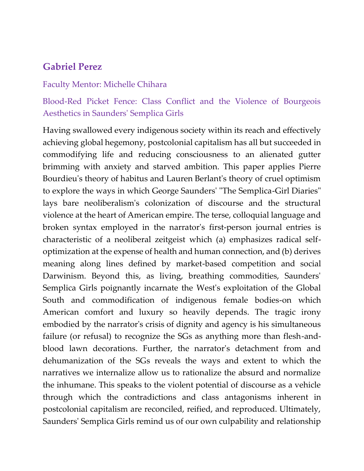## **Gabriel Perez**

#### Faculty Mentor: Michelle Chihara

# Blood-Red Picket Fence: Class Conflict and the Violence of Bourgeois Aesthetics in Saunders' Semplica Girls

Having swallowed every indigenous society within its reach and effectively achieving global hegemony, postcolonial capitalism has all but succeeded in commodifying life and reducing consciousness to an alienated gutter brimming with anxiety and starved ambition. This paper applies Pierre Bourdieu's theory of habitus and Lauren Berlant's theory of cruel optimism to explore the ways in which George Saunders' "The Semplica-Girl Diaries" lays bare neoliberalism's colonization of discourse and the structural violence at the heart of American empire. The terse, colloquial language and broken syntax employed in the narrator's first-person journal entries is characteristic of a neoliberal zeitgeist which (a) emphasizes radical selfoptimization at the expense of health and human connection, and (b) derives meaning along lines defined by market-based competition and social Darwinism. Beyond this, as living, breathing commodities, Saunders' Semplica Girls poignantly incarnate the West's exploitation of the Global South and commodification of indigenous female bodies-on which American comfort and luxury so heavily depends. The tragic irony embodied by the narrator's crisis of dignity and agency is his simultaneous failure (or refusal) to recognize the SGs as anything more than flesh-andblood lawn decorations. Further, the narrator's detachment from and dehumanization of the SGs reveals the ways and extent to which the narratives we internalize allow us to rationalize the absurd and normalize the inhumane. This speaks to the violent potential of discourse as a vehicle through which the contradictions and class antagonisms inherent in postcolonial capitalism are reconciled, reified, and reproduced. Ultimately, Saunders' Semplica Girls remind us of our own culpability and relationship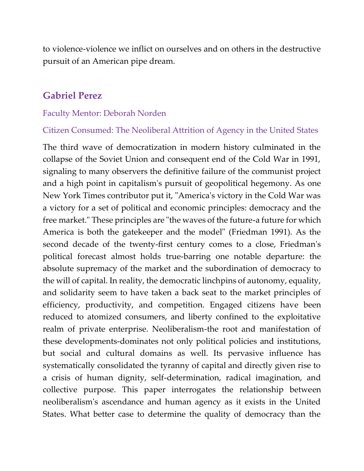to violence-violence we inflict on ourselves and on others in the destructive pursuit of an American pipe dream.

## **Gabriel Perez**

#### Faculty Mentor: Deborah Norden

#### Citizen Consumed: The Neoliberal Attrition of Agency in the United States

The third wave of democratization in modern history culminated in the collapse of the Soviet Union and consequent end of the Cold War in 1991, signaling to many observers the definitive failure of the communist project and a high point in capitalism's pursuit of geopolitical hegemony. As one New York Times contributor put it, "America's victory in the Cold War was a victory for a set of political and economic principles: democracy and the free market." These principles are "the waves of the future-a future for which America is both the gatekeeper and the model" (Friedman 1991). As the second decade of the twenty-first century comes to a close, Friedman's political forecast almost holds true-barring one notable departure: the absolute supremacy of the market and the subordination of democracy to the will of capital. In reality, the democratic linchpins of autonomy, equality, and solidarity seem to have taken a back seat to the market principles of efficiency, productivity, and competition. Engaged citizens have been reduced to atomized consumers, and liberty confined to the exploitative realm of private enterprise. Neoliberalism-the root and manifestation of these developments-dominates not only political policies and institutions, but social and cultural domains as well. Its pervasive influence has systematically consolidated the tyranny of capital and directly given rise to a crisis of human dignity, self-determination, radical imagination, and collective purpose. This paper interrogates the relationship between neoliberalism's ascendance and human agency as it exists in the United States. What better case to determine the quality of democracy than the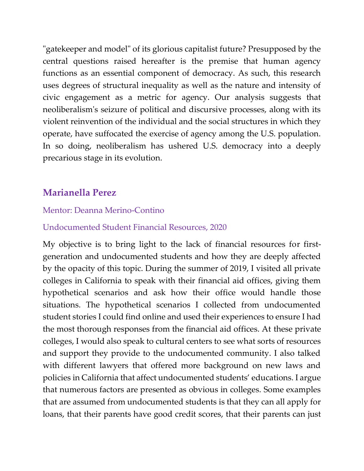"gatekeeper and model" of its glorious capitalist future? Presupposed by the central questions raised hereafter is the premise that human agency functions as an essential component of democracy. As such, this research uses degrees of structural inequality as well as the nature and intensity of civic engagement as a metric for agency. Our analysis suggests that neoliberalism's seizure of political and discursive processes, along with its violent reinvention of the individual and the social structures in which they operate, have suffocated the exercise of agency among the U.S. population. In so doing, neoliberalism has ushered U.S. democracy into a deeply precarious stage in its evolution.

# **Marianella Perez**

## Mentor: Deanna Merino-Contino

## Undocumented Student Financial Resources, 2020

My objective is to bring light to the lack of financial resources for firstgeneration and undocumented students and how they are deeply affected by the opacity of this topic. During the summer of 2019, I visited all private colleges in California to speak with their financial aid offices, giving them hypothetical scenarios and ask how their office would handle those situations. The hypothetical scenarios I collected from undocumented student stories I could find online and used their experiences to ensure I had the most thorough responses from the financial aid offices. At these private colleges, I would also speak to cultural centers to see what sorts of resources and support they provide to the undocumented community. I also talked with different lawyers that offered more background on new laws and policies in California that affect undocumented students' educations. I argue that numerous factors are presented as obvious in colleges. Some examples that are assumed from undocumented students is that they can all apply for loans, that their parents have good credit scores, that their parents can just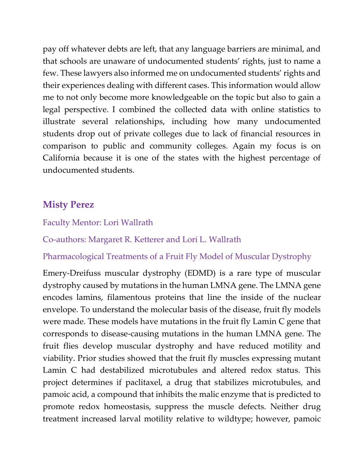pay off whatever debts are left, that any language barriers are minimal, and that schools are unaware of undocumented students' rights, just to name a few. These lawyers also informed me on undocumented students' rights and their experiences dealing with different cases. This information would allow me to not only become more knowledgeable on the topic but also to gain a legal perspective. I combined the collected data with online statistics to illustrate several relationships, including how many undocumented students drop out of private colleges due to lack of financial resources in comparison to public and community colleges. Again my focus is on California because it is one of the states with the highest percentage of undocumented students.

# **Misty Perez**

## Faculty Mentor: Lori Wallrath

Co-authors: Margaret R. Ketterer and Lori L. Wallrath

## Pharmacological Treatments of a Fruit Fly Model of Muscular Dystrophy

Emery-Dreifuss muscular dystrophy (EDMD) is a rare type of muscular dystrophy caused by mutations in the human LMNA gene. The LMNA gene encodes lamins, filamentous proteins that line the inside of the nuclear envelope. To understand the molecular basis of the disease, fruit fly models were made. These models have mutations in the fruit fly Lamin C gene that corresponds to disease-causing mutations in the human LMNA gene. The fruit flies develop muscular dystrophy and have reduced motility and viability. Prior studies showed that the fruit fly muscles expressing mutant Lamin C had destabilized microtubules and altered redox status. This project determines if paclitaxel, a drug that stabilizes microtubules, and pamoic acid, a compound that inhibits the malic enzyme that is predicted to promote redox homeostasis, suppress the muscle defects. Neither drug treatment increased larval motility relative to wildtype; however, pamoic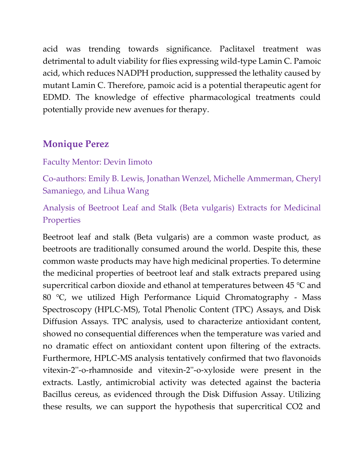acid was trending towards significance. Paclitaxel treatment was detrimental to adult viability for flies expressing wild-type Lamin C. Pamoic acid, which reduces NADPH production, suppressed the lethality caused by mutant Lamin C. Therefore, pamoic acid is a potential therapeutic agent for EDMD. The knowledge of effective pharmacological treatments could potentially provide new avenues for therapy.

# **Monique Perez**

### Faculty Mentor: Devin Iimoto

Co-authors: Emily B. Lewis, Jonathan Wenzel, Michelle Ammerman, Cheryl Samaniego, and Lihua Wang

Analysis of Beetroot Leaf and Stalk (Beta vulgaris) Extracts for Medicinal **Properties** 

Beetroot leaf and stalk (Beta vulgaris) are a common waste product, as beetroots are traditionally consumed around the world. Despite this, these common waste products may have high medicinal properties. To determine the medicinal properties of beetroot leaf and stalk extracts prepared using supercritical carbon dioxide and ethanol at temperatures between 45 ℃ and 80 ℃, we utilized High Performance Liquid Chromatography - Mass Spectroscopy (HPLC-MS), Total Phenolic Content (TPC) Assays, and Disk Diffusion Assays. TPC analysis, used to characterize antioxidant content, showed no consequential differences when the temperature was varied and no dramatic effect on antioxidant content upon filtering of the extracts. Furthermore, HPLC-MS analysis tentatively confirmed that two flavonoids vitexin-2''-o-rhamnoside and vitexin-2''-o-xyloside were present in the extracts. Lastly, antimicrobial activity was detected against the bacteria Bacillus cereus, as evidenced through the Disk Diffusion Assay. Utilizing these results, we can support the hypothesis that supercritical CO2 and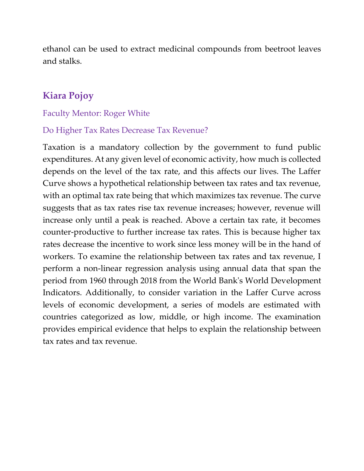ethanol can be used to extract medicinal compounds from beetroot leaves and stalks.

# **Kiara Pojoy**

#### Faculty Mentor: Roger White

### Do Higher Tax Rates Decrease Tax Revenue?

Taxation is a mandatory collection by the government to fund public expenditures. At any given level of economic activity, how much is collected depends on the level of the tax rate, and this affects our lives. The Laffer Curve shows a hypothetical relationship between tax rates and tax revenue, with an optimal tax rate being that which maximizes tax revenue. The curve suggests that as tax rates rise tax revenue increases; however, revenue will increase only until a peak is reached. Above a certain tax rate, it becomes counter-productive to further increase tax rates. This is because higher tax rates decrease the incentive to work since less money will be in the hand of workers. To examine the relationship between tax rates and tax revenue, I perform a non-linear regression analysis using annual data that span the period from 1960 through 2018 from the World Bank's World Development Indicators. Additionally, to consider variation in the Laffer Curve across levels of economic development, a series of models are estimated with countries categorized as low, middle, or high income. The examination provides empirical evidence that helps to explain the relationship between tax rates and tax revenue.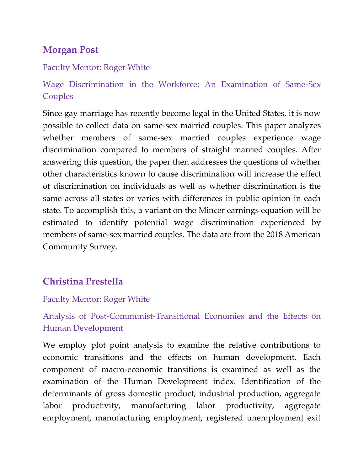# **Morgan Post**

### Faculty Mentor: Roger White

Wage Discrimination in the Workforce: An Examination of Same-Sex Couples

Since gay marriage has recently become legal in the United States, it is now possible to collect data on same-sex married couples. This paper analyzes whether members of same-sex married couples experience wage discrimination compared to members of straight married couples. After answering this question, the paper then addresses the questions of whether other characteristics known to cause discrimination will increase the effect of discrimination on individuals as well as whether discrimination is the same across all states or varies with differences in public opinion in each state. To accomplish this, a variant on the Mincer earnings equation will be estimated to identify potential wage discrimination experienced by members of same-sex married couples. The data are from the 2018 American Community Survey.

# **Christina Prestella**

### Faculty Mentor: Roger White

Analysis of Post-Communist-Transitional Economies and the Effects on Human Development

We employ plot point analysis to examine the relative contributions to economic transitions and the effects on human development. Each component of macro-economic transitions is examined as well as the examination of the Human Development index. Identification of the determinants of gross domestic product, industrial production, aggregate labor productivity, manufacturing labor productivity, aggregate employment, manufacturing employment, registered unemployment exit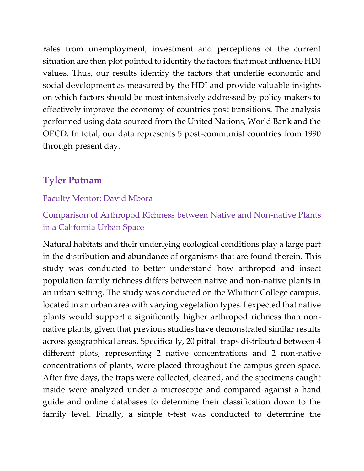rates from unemployment, investment and perceptions of the current situation are then plot pointed to identify the factors that most influence HDI values. Thus, our results identify the factors that underlie economic and social development as measured by the HDI and provide valuable insights on which factors should be most intensively addressed by policy makers to effectively improve the economy of countries post transitions. The analysis performed using data sourced from the United Nations, World Bank and the OECD. In total, our data represents 5 post-communist countries from 1990 through present day.

# **Tyler Putnam**

### Faculty Mentor: David Mbora

# Comparison of Arthropod Richness between Native and Non-native Plants in a California Urban Space

Natural habitats and their underlying ecological conditions play a large part in the distribution and abundance of organisms that are found therein. This study was conducted to better understand how arthropod and insect population family richness differs between native and non-native plants in an urban setting. The study was conducted on the Whittier College campus, located in an urban area with varying vegetation types. I expected that native plants would support a significantly higher arthropod richness than nonnative plants, given that previous studies have demonstrated similar results across geographical areas. Specifically, 20 pitfall traps distributed between 4 different plots, representing 2 native concentrations and 2 non-native concentrations of plants, were placed throughout the campus green space. After five days, the traps were collected, cleaned, and the specimens caught inside were analyzed under a microscope and compared against a hand guide and online databases to determine their classification down to the family level. Finally, a simple t-test was conducted to determine the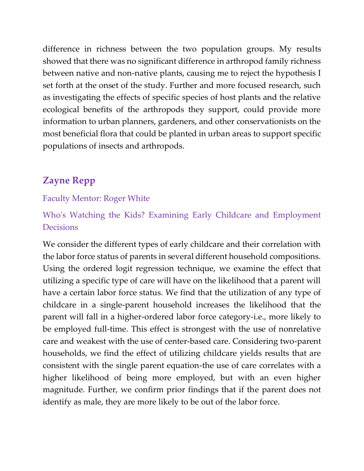difference in richness between the two population groups. My results showed that there was no significant difference in arthropod family richness between native and non-native plants, causing me to reject the hypothesis I set forth at the onset of the study. Further and more focused research, such as investigating the effects of specific species of host plants and the relative ecological benefits of the arthropods they support, could provide more information to urban planners, gardeners, and other conservationists on the most beneficial flora that could be planted in urban areas to support specific populations of insects and arthropods.

# **Zayne Repp**

### Faculty Mentor: Roger White

Who's Watching the Kids? Examining Early Childcare and Employment **Decisions** 

We consider the different types of early childcare and their correlation with the labor force status of parents in several different household compositions. Using the ordered logit regression technique, we examine the effect that utilizing a specific type of care will have on the likelihood that a parent will have a certain labor force status. We find that the utilization of any type of childcare in a single-parent household increases the likelihood that the parent will fall in a higher-ordered labor force category-i.e., more likely to be employed full-time. This effect is strongest with the use of nonrelative care and weakest with the use of center-based care. Considering two-parent households, we find the effect of utilizing childcare yields results that are consistent with the single parent equation-the use of care correlates with a higher likelihood of being more employed, but with an even higher magnitude. Further, we confirm prior findings that if the parent does not identify as male, they are more likely to be out of the labor force.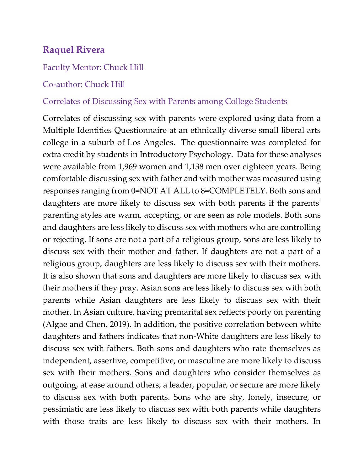# **Raquel Rivera**

#### Faculty Mentor: Chuck Hill

#### Co-author: Chuck Hill

#### Correlates of Discussing Sex with Parents among College Students

Correlates of discussing sex with parents were explored using data from a Multiple Identities Questionnaire at an ethnically diverse small liberal arts college in a suburb of Los Angeles. The questionnaire was completed for extra credit by students in Introductory Psychology. Data for these analyses were available from 1,969 women and 1,138 men over eighteen years. Being comfortable discussing sex with father and with mother was measured using responses ranging from 0=NOT AT ALL to 8=COMPLETELY. Both sons and daughters are more likely to discuss sex with both parents if the parents' parenting styles are warm, accepting, or are seen as role models. Both sons and daughters are less likely to discuss sex with mothers who are controlling or rejecting. If sons are not a part of a religious group, sons are less likely to discuss sex with their mother and father. If daughters are not a part of a religious group, daughters are less likely to discuss sex with their mothers. It is also shown that sons and daughters are more likely to discuss sex with their mothers if they pray. Asian sons are less likely to discuss sex with both parents while Asian daughters are less likely to discuss sex with their mother. In Asian culture, having premarital sex reflects poorly on parenting (Algae and Chen, 2019). In addition, the positive correlation between white daughters and fathers indicates that non-White daughters are less likely to discuss sex with fathers. Both sons and daughters who rate themselves as independent, assertive, competitive, or masculine are more likely to discuss sex with their mothers. Sons and daughters who consider themselves as outgoing, at ease around others, a leader, popular, or secure are more likely to discuss sex with both parents. Sons who are shy, lonely, insecure, or pessimistic are less likely to discuss sex with both parents while daughters with those traits are less likely to discuss sex with their mothers. In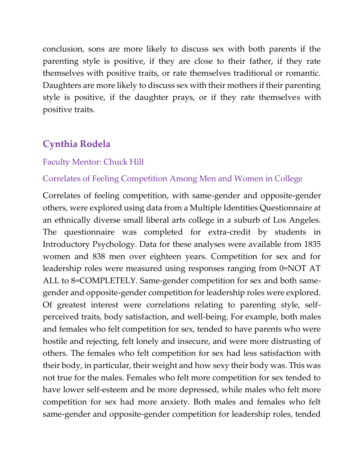conclusion, sons are more likely to discuss sex with both parents if the parenting style is positive, if they are close to their father, if they rate themselves with positive traits, or rate themselves traditional or romantic. Daughters are more likely to discuss sex with their mothers if their parenting style is positive, if the daughter prays, or if they rate themselves with positive traits.

# **Cynthia Rodela**

#### Faculty Mentor: Chuck Hill

#### Correlates of Feeling Competition Among Men and Women in College

Correlates of feeling competition, with same-gender and opposite-gender others, were explored using data from a Multiple Identities Questionnaire at an ethnically diverse small liberal arts college in a suburb of Los Angeles. The questionnaire was completed for extra-credit by students in Introductory Psychology. Data for these analyses were available from 1835 women and 838 men over eighteen years. Competition for sex and for leadership roles were measured using responses ranging from 0=NOT AT ALL to 8=COMPLETELY. Same-gender competition for sex and both samegender and opposite-gender competition for leadership roles were explored. Of greatest interest were correlations relating to parenting style, selfperceived traits, body satisfaction, and well-being. For example, both males and females who felt competition for sex, tended to have parents who were hostile and rejecting, felt lonely and insecure, and were more distrusting of others. The females who felt competition for sex had less satisfaction with their body, in particular, their weight and how sexy their body was. This was not true for the males. Females who felt more competition for sex tended to have lower self-esteem and be more depressed, while males who felt more competition for sex had more anxiety. Both males and females who felt same-gender and opposite-gender competition for leadership roles, tended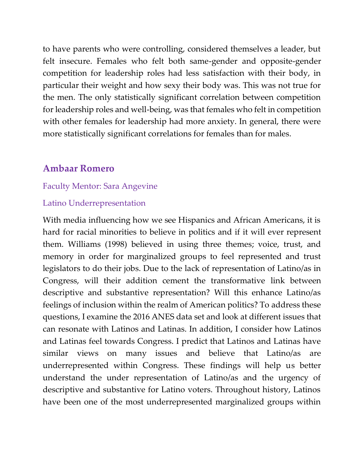to have parents who were controlling, considered themselves a leader, but felt insecure. Females who felt both same-gender and opposite-gender competition for leadership roles had less satisfaction with their body, in particular their weight and how sexy their body was. This was not true for the men. The only statistically significant correlation between competition for leadership roles and well-being, was that females who felt in competition with other females for leadership had more anxiety. In general, there were more statistically significant correlations for females than for males.

### **Ambaar Romero**

#### Faculty Mentor: Sara Angevine

#### Latino Underrepresentation

With media influencing how we see Hispanics and African Americans, it is hard for racial minorities to believe in politics and if it will ever represent them. Williams (1998) believed in using three themes; voice, trust, and memory in order for marginalized groups to feel represented and trust legislators to do their jobs. Due to the lack of representation of Latino/as in Congress, will their addition cement the transformative link between descriptive and substantive representation? Will this enhance Latino/as feelings of inclusion within the realm of American politics? To address these questions, I examine the 2016 ANES data set and look at different issues that can resonate with Latinos and Latinas. In addition, I consider how Latinos and Latinas feel towards Congress. I predict that Latinos and Latinas have similar views on many issues and believe that Latino/as are underrepresented within Congress. These findings will help us better understand the under representation of Latino/as and the urgency of descriptive and substantive for Latino voters. Throughout history, Latinos have been one of the most underrepresented marginalized groups within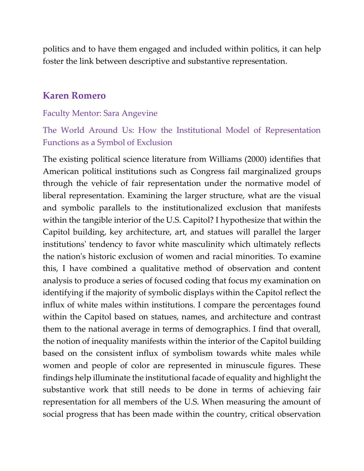politics and to have them engaged and included within politics, it can help foster the link between descriptive and substantive representation.

### **Karen Romero**

#### Faculty Mentor: Sara Angevine

## The World Around Us: How the Institutional Model of Representation Functions as a Symbol of Exclusion

The existing political science literature from Williams (2000) identifies that American political institutions such as Congress fail marginalized groups through the vehicle of fair representation under the normative model of liberal representation. Examining the larger structure, what are the visual and symbolic parallels to the institutionalized exclusion that manifests within the tangible interior of the U.S. Capitol? I hypothesize that within the Capitol building, key architecture, art, and statues will parallel the larger institutions' tendency to favor white masculinity which ultimately reflects the nation's historic exclusion of women and racial minorities. To examine this, I have combined a qualitative method of observation and content analysis to produce a series of focused coding that focus my examination on identifying if the majority of symbolic displays within the Capitol reflect the influx of white males within institutions. I compare the percentages found within the Capitol based on statues, names, and architecture and contrast them to the national average in terms of demographics. I find that overall, the notion of inequality manifests within the interior of the Capitol building based on the consistent influx of symbolism towards white males while women and people of color are represented in minuscule figures. These findings help illuminate the institutional facade of equality and highlight the substantive work that still needs to be done in terms of achieving fair representation for all members of the U.S. When measuring the amount of social progress that has been made within the country, critical observation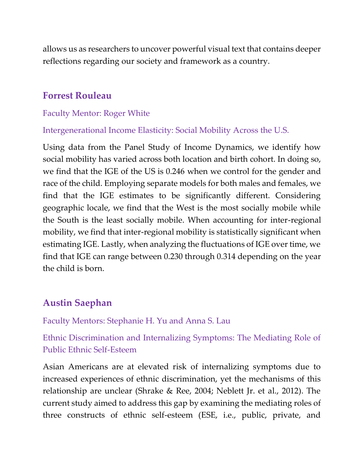allows us as researchers to uncover powerful visual text that contains deeper reflections regarding our society and framework as a country.

### **Forrest Rouleau**

#### Faculty Mentor: Roger White

Intergenerational Income Elasticity: Social Mobility Across the U.S.

Using data from the Panel Study of Income Dynamics, we identify how social mobility has varied across both location and birth cohort. In doing so, we find that the IGE of the US is 0.246 when we control for the gender and race of the child. Employing separate models for both males and females, we find that the IGE estimates to be significantly different. Considering geographic locale, we find that the West is the most socially mobile while the South is the least socially mobile. When accounting for inter-regional mobility, we find that inter-regional mobility is statistically significant when estimating IGE. Lastly, when analyzing the fluctuations of IGE over time, we find that IGE can range between 0.230 through 0.314 depending on the year the child is born.

## **Austin Saephan**

Faculty Mentors: Stephanie H. Yu and Anna S. Lau

Ethnic Discrimination and Internalizing Symptoms: The Mediating Role of Public Ethnic Self-Esteem

Asian Americans are at elevated risk of internalizing symptoms due to increased experiences of ethnic discrimination, yet the mechanisms of this relationship are unclear (Shrake & Ree, 2004; Neblett Jr. et al., 2012). The current study aimed to address this gap by examining the mediating roles of three constructs of ethnic self-esteem (ESE, i.e., public, private, and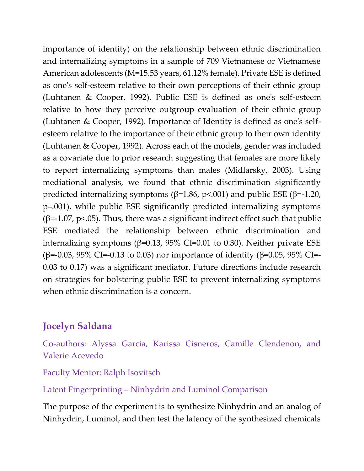importance of identity) on the relationship between ethnic discrimination and internalizing symptoms in a sample of 709 Vietnamese or Vietnamese American adolescents (M=15.53 years, 61.12% female). Private ESE is defined as one's self-esteem relative to their own perceptions of their ethnic group (Luhtanen & Cooper, 1992). Public ESE is defined as one's self-esteem relative to how they perceive outgroup evaluation of their ethnic group (Luhtanen & Cooper, 1992). Importance of Identity is defined as one's selfesteem relative to the importance of their ethnic group to their own identity (Luhtanen & Cooper, 1992). Across each of the models, gender was included as a covariate due to prior research suggesting that females are more likely to report internalizing symptoms than males (Midlarsky, 2003). Using mediational analysis, we found that ethnic discrimination significantly predicted internalizing symptoms ( $\beta$ =1.86, p<.001) and public ESE ( $\beta$ =-1.20, p=.001), while public ESE significantly predicted internalizing symptoms ( $\beta$ =-1.07, p<.05). Thus, there was a significant indirect effect such that public ESE mediated the relationship between ethnic discrimination and internalizing symptoms ( $β=0.13$ ,  $95%$  CI=0.01 to 0.30). Neither private ESE (β=-0.03, 95% CI=-0.13 to 0.03) nor importance of identity (β=0.05, 95% CI=- 0.03 to 0.17) was a significant mediator. Future directions include research on strategies for bolstering public ESE to prevent internalizing symptoms when ethnic discrimination is a concern.

# **Jocelyn Saldana**

Co-authors: Alyssa Garcia, Karissa Cisneros, Camille Clendenon, and Valerie Acevedo

Faculty Mentor: Ralph Isovitsch

Latent Fingerprinting – Ninhydrin and Luminol Comparison

The purpose of the experiment is to synthesize Ninhydrin and an analog of Ninhydrin, Luminol, and then test the latency of the synthesized chemicals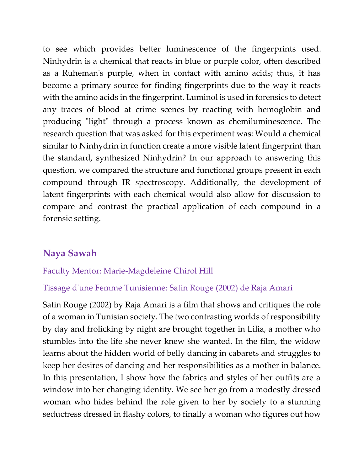to see which provides better luminescence of the fingerprints used. Ninhydrin is a chemical that reacts in blue or purple color, often described as a Ruheman's purple, when in contact with amino acids; thus, it has become a primary source for finding fingerprints due to the way it reacts with the amino acids in the fingerprint. Luminol is used in forensics to detect any traces of blood at crime scenes by reacting with hemoglobin and producing "light" through a process known as chemiluminescence. The research question that was asked for this experiment was: Would a chemical similar to Ninhydrin in function create a more visible latent fingerprint than the standard, synthesized Ninhydrin? In our approach to answering this question, we compared the structure and functional groups present in each compound through IR spectroscopy. Additionally, the development of latent fingerprints with each chemical would also allow for discussion to compare and contrast the practical application of each compound in a forensic setting.

## **Naya Sawah**

### Faculty Mentor: Marie-Magdeleine Chirol Hill

#### Tissage d'une Femme Tunisienne: Satin Rouge (2002) de Raja Amari

Satin Rouge (2002) by Raja Amari is a film that shows and critiques the role of a woman in Tunisian society. The two contrasting worlds of responsibility by day and frolicking by night are brought together in Lilia, a mother who stumbles into the life she never knew she wanted. In the film, the widow learns about the hidden world of belly dancing in cabarets and struggles to keep her desires of dancing and her responsibilities as a mother in balance. In this presentation, I show how the fabrics and styles of her outfits are a window into her changing identity. We see her go from a modestly dressed woman who hides behind the role given to her by society to a stunning seductress dressed in flashy colors, to finally a woman who figures out how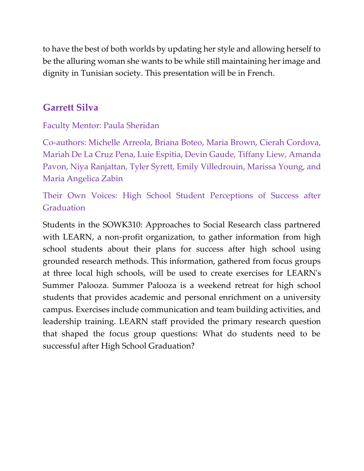to have the best of both worlds by updating her style and allowing herself to be the alluring woman she wants to be while still maintaining her image and dignity in Tunisian society. This presentation will be in French.

# **Garrett Silva**

Faculty Mentor: Paula Sheridan

Co-authors: Michelle Arreola, Briana Boteo, Maria Brown, Cierah Cordova, Mariah De La Cruz Pena, Luie Espitia, Devin Gaude, Tiffany Liew, Amanda Pavon, Niya Ranjattan, Tyler Syrett, Emily Villedrouin, Marissa Young, and Maria Angelica Zabin

Their Own Voices: High School Student Perceptions of Success after Graduation

Students in the SOWK310: Approaches to Social Research class partnered with LEARN, a non-profit organization, to gather information from high school students about their plans for success after high school using grounded research methods. This information, gathered from focus groups at three local high schools, will be used to create exercises for LEARN's Summer Palooza. Summer Palooza is a weekend retreat for high school students that provides academic and personal enrichment on a university campus. Exercises include communication and team building activities, and leadership training. LEARN staff provided the primary research question that shaped the focus group questions: What do students need to be successful after High School Graduation?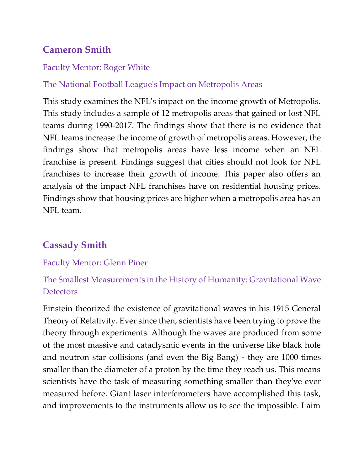# **Cameron Smith**

#### Faculty Mentor: Roger White

### The National Football League's Impact on Metropolis Areas

This study examines the NFL's impact on the income growth of Metropolis. This study includes a sample of 12 metropolis areas that gained or lost NFL teams during 1990-2017. The findings show that there is no evidence that NFL teams increase the income of growth of metropolis areas. However, the findings show that metropolis areas have less income when an NFL franchise is present. Findings suggest that cities should not look for NFL franchises to increase their growth of income. This paper also offers an analysis of the impact NFL franchises have on residential housing prices. Findings show that housing prices are higher when a metropolis area has an NFL team.

# **Cassady Smith**

### Faculty Mentor: Glenn Piner

## The Smallest Measurements in the History of Humanity: Gravitational Wave **Detectors**

Einstein theorized the existence of gravitational waves in his 1915 General Theory of Relativity. Ever since then, scientists have been trying to prove the theory through experiments. Although the waves are produced from some of the most massive and cataclysmic events in the universe like black hole and neutron star collisions (and even the Big Bang) - they are 1000 times smaller than the diameter of a proton by the time they reach us. This means scientists have the task of measuring something smaller than they've ever measured before. Giant laser interferometers have accomplished this task, and improvements to the instruments allow us to see the impossible. I aim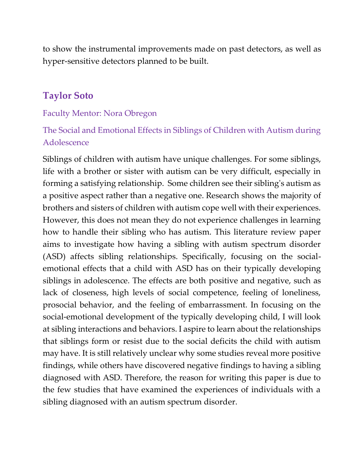to show the instrumental improvements made on past detectors, as well as hyper-sensitive detectors planned to be built.

### **Taylor Soto**

#### Faculty Mentor: Nora Obregon

# The Social and Emotional Effects in Siblings of Children with Autism during Adolescence

Siblings of children with autism have unique challenges. For some siblings, life with a brother or sister with autism can be very difficult, especially in forming a satisfying relationship. Some children see their sibling's autism as a positive aspect rather than a negative one. Research shows the majority of brothers and sisters of children with autism cope well with their experiences. However, this does not mean they do not experience challenges in learning how to handle their sibling who has autism. This literature review paper aims to investigate how having a sibling with autism spectrum disorder (ASD) affects sibling relationships. Specifically, focusing on the socialemotional effects that a child with ASD has on their typically developing siblings in adolescence. The effects are both positive and negative, such as lack of closeness, high levels of social competence, feeling of loneliness, prosocial behavior, and the feeling of embarrassment. In focusing on the social-emotional development of the typically developing child, I will look at sibling interactions and behaviors. I aspire to learn about the relationships that siblings form or resist due to the social deficits the child with autism may have. It is still relatively unclear why some studies reveal more positive findings, while others have discovered negative findings to having a sibling diagnosed with ASD. Therefore, the reason for writing this paper is due to the few studies that have examined the experiences of individuals with a sibling diagnosed with an autism spectrum disorder.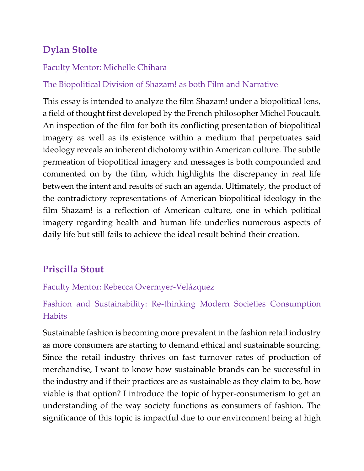# **Dylan Stolte**

### Faculty Mentor: Michelle Chihara

## The Biopolitical Division of Shazam! as both Film and Narrative

This essay is intended to analyze the film Shazam! under a biopolitical lens, a field of thought first developed by the French philosopher Michel Foucault. An inspection of the film for both its conflicting presentation of biopolitical imagery as well as its existence within a medium that perpetuates said ideology reveals an inherent dichotomy within American culture. The subtle permeation of biopolitical imagery and messages is both compounded and commented on by the film, which highlights the discrepancy in real life between the intent and results of such an agenda. Ultimately, the product of the contradictory representations of American biopolitical ideology in the film Shazam! is a reflection of American culture, one in which political imagery regarding health and human life underlies numerous aspects of daily life but still fails to achieve the ideal result behind their creation.

# **Priscilla Stout**

## Faculty Mentor: Rebecca Overmyer-Velázquez

# Fashion and Sustainability: Re-thinking Modern Societies Consumption **Habits**

Sustainable fashion is becoming more prevalent in the fashion retail industry as more consumers are starting to demand ethical and sustainable sourcing. Since the retail industry thrives on fast turnover rates of production of merchandise, I want to know how sustainable brands can be successful in the industry and if their practices are as sustainable as they claim to be, how viable is that option? I introduce the topic of hyper-consumerism to get an understanding of the way society functions as consumers of fashion. The significance of this topic is impactful due to our environment being at high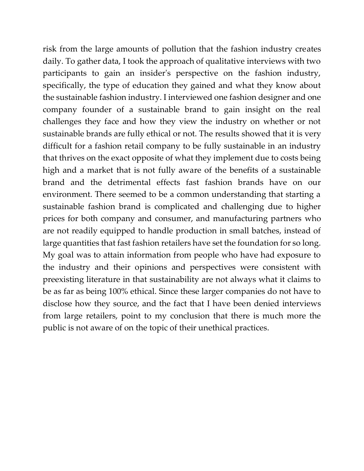risk from the large amounts of pollution that the fashion industry creates daily. To gather data, I took the approach of qualitative interviews with two participants to gain an insider's perspective on the fashion industry, specifically, the type of education they gained and what they know about the sustainable fashion industry. I interviewed one fashion designer and one company founder of a sustainable brand to gain insight on the real challenges they face and how they view the industry on whether or not sustainable brands are fully ethical or not. The results showed that it is very difficult for a fashion retail company to be fully sustainable in an industry that thrives on the exact opposite of what they implement due to costs being high and a market that is not fully aware of the benefits of a sustainable brand and the detrimental effects fast fashion brands have on our environment. There seemed to be a common understanding that starting a sustainable fashion brand is complicated and challenging due to higher prices for both company and consumer, and manufacturing partners who are not readily equipped to handle production in small batches, instead of large quantities that fast fashion retailers have set the foundation for so long. My goal was to attain information from people who have had exposure to the industry and their opinions and perspectives were consistent with preexisting literature in that sustainability are not always what it claims to be as far as being 100% ethical. Since these larger companies do not have to disclose how they source, and the fact that I have been denied interviews from large retailers, point to my conclusion that there is much more the public is not aware of on the topic of their unethical practices.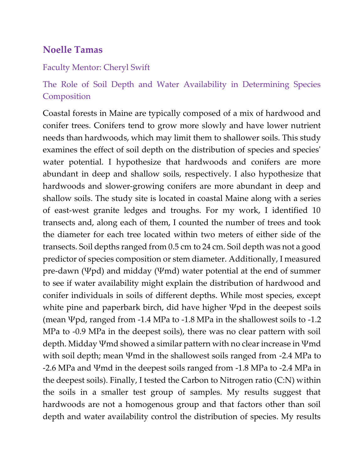## **Noelle Tamas**

#### Faculty Mentor: Cheryl Swift

# The Role of Soil Depth and Water Availability in Determining Species Composition

Coastal forests in Maine are typically composed of a mix of hardwood and conifer trees. Conifers tend to grow more slowly and have lower nutrient needs than hardwoods, which may limit them to shallower soils. This study examines the effect of soil depth on the distribution of species and species' water potential. I hypothesize that hardwoods and conifers are more abundant in deep and shallow soils, respectively. I also hypothesize that hardwoods and slower-growing conifers are more abundant in deep and shallow soils. The study site is located in coastal Maine along with a series of east-west granite ledges and troughs. For my work, I identified 10 transects and, along each of them, I counted the number of trees and took the diameter for each tree located within two meters of either side of the transects. Soil depths ranged from 0.5 cm to 24 cm. Soil depth was not a good predictor of species composition or stem diameter. Additionally, I measured pre-dawn (Ψpd) and midday (Ψmd) water potential at the end of summer to see if water availability might explain the distribution of hardwood and conifer individuals in soils of different depths. While most species, except white pine and paperbark birch, did have higher Ψpd in the deepest soils (mean Ψpd, ranged from -1.4 MPa to -1.8 MPa in the shallowest soils to -1.2 MPa to -0.9 MPa in the deepest soils), there was no clear pattern with soil depth. Midday Ψmd showed a similar pattern with no clear increase in Ψmd with soil depth; mean Ψmd in the shallowest soils ranged from -2.4 MPa to -2.6 MPa and Ψmd in the deepest soils ranged from -1.8 MPa to -2.4 MPa in the deepest soils). Finally, I tested the Carbon to Nitrogen ratio (C:N) within the soils in a smaller test group of samples. My results suggest that hardwoods are not a homogenous group and that factors other than soil depth and water availability control the distribution of species. My results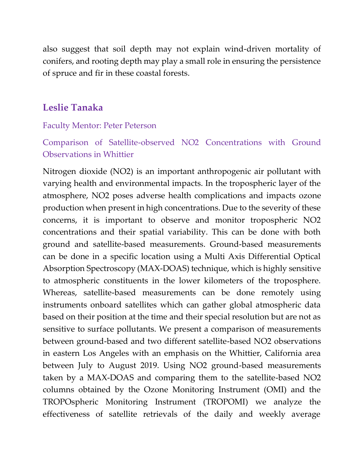also suggest that soil depth may not explain wind-driven mortality of conifers, and rooting depth may play a small role in ensuring the persistence of spruce and fir in these coastal forests.

# **Leslie Tanaka**

#### Faculty Mentor: Peter Peterson

Comparison of Satellite-observed NO2 Concentrations with Ground Observations in Whittier

Nitrogen dioxide (NO2) is an important anthropogenic air pollutant with varying health and environmental impacts. In the tropospheric layer of the atmosphere, NO2 poses adverse health complications and impacts ozone production when present in high concentrations. Due to the severity of these concerns, it is important to observe and monitor tropospheric NO2 concentrations and their spatial variability. This can be done with both ground and satellite-based measurements. Ground-based measurements can be done in a specific location using a Multi Axis Differential Optical Absorption Spectroscopy (MAX-DOAS) technique, which is highly sensitive to atmospheric constituents in the lower kilometers of the troposphere. Whereas, satellite-based measurements can be done remotely using instruments onboard satellites which can gather global atmospheric data based on their position at the time and their special resolution but are not as sensitive to surface pollutants. We present a comparison of measurements between ground-based and two different satellite-based NO2 observations in eastern Los Angeles with an emphasis on the Whittier, California area between July to August 2019. Using NO2 ground-based measurements taken by a MAX-DOAS and comparing them to the satellite-based NO2 columns obtained by the Ozone Monitoring Instrument (OMI) and the TROPOspheric Monitoring Instrument (TROPOMI) we analyze the effectiveness of satellite retrievals of the daily and weekly average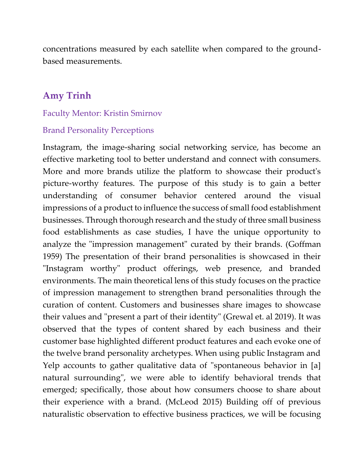concentrations measured by each satellite when compared to the groundbased measurements.

### **Amy Trinh**

#### Faculty Mentor: Kristin Smirnov

#### Brand Personality Perceptions

Instagram, the image-sharing social networking service, has become an effective marketing tool to better understand and connect with consumers. More and more brands utilize the platform to showcase their product's picture-worthy features. The purpose of this study is to gain a better understanding of consumer behavior centered around the visual impressions of a product to influence the success of small food establishment businesses. Through thorough research and the study of three small business food establishments as case studies, I have the unique opportunity to analyze the "impression management" curated by their brands. (Goffman 1959) The presentation of their brand personalities is showcased in their "Instagram worthy" product offerings, web presence, and branded environments. The main theoretical lens of this study focuses on the practice of impression management to strengthen brand personalities through the curation of content. Customers and businesses share images to showcase their values and "present a part of their identity" (Grewal et. al 2019). It was observed that the types of content shared by each business and their customer base highlighted different product features and each evoke one of the twelve brand personality archetypes. When using public Instagram and Yelp accounts to gather qualitative data of "spontaneous behavior in [a] natural surrounding", we were able to identify behavioral trends that emerged; specifically, those about how consumers choose to share about their experience with a brand. (McLeod 2015) Building off of previous naturalistic observation to effective business practices, we will be focusing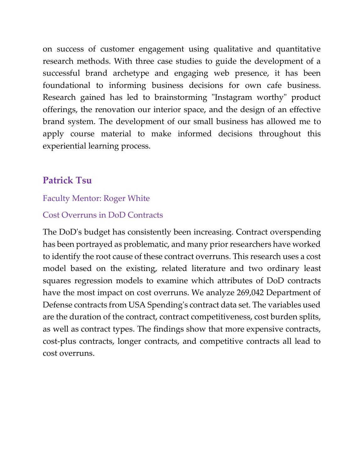on success of customer engagement using qualitative and quantitative research methods. With three case studies to guide the development of a successful brand archetype and engaging web presence, it has been foundational to informing business decisions for own cafe business. Research gained has led to brainstorming "Instagram worthy" product offerings, the renovation our interior space, and the design of an effective brand system. The development of our small business has allowed me to apply course material to make informed decisions throughout this experiential learning process.

# **Patrick Tsu**

### Faculty Mentor: Roger White

### Cost Overruns in DoD Contracts

The DoD's budget has consistently been increasing. Contract overspending has been portrayed as problematic, and many prior researchers have worked to identify the root cause of these contract overruns. This research uses a cost model based on the existing, related literature and two ordinary least squares regression models to examine which attributes of DoD contracts have the most impact on cost overruns. We analyze 269,042 Department of Defense contracts from USA Spending's contract data set. The variables used are the duration of the contract, contract competitiveness, cost burden splits, as well as contract types. The findings show that more expensive contracts, cost-plus contracts, longer contracts, and competitive contracts all lead to cost overruns.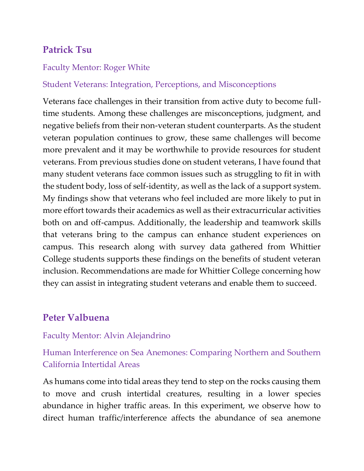# **Patrick Tsu**

#### Faculty Mentor: Roger White

#### Student Veterans: Integration, Perceptions, and Misconceptions

Veterans face challenges in their transition from active duty to become fulltime students. Among these challenges are misconceptions, judgment, and negative beliefs from their non-veteran student counterparts. As the student veteran population continues to grow, these same challenges will become more prevalent and it may be worthwhile to provide resources for student veterans. From previous studies done on student veterans, I have found that many student veterans face common issues such as struggling to fit in with the student body, loss of self-identity, as well as the lack of a support system. My findings show that veterans who feel included are more likely to put in more effort towards their academics as well as their extracurricular activities both on and off-campus. Additionally, the leadership and teamwork skills that veterans bring to the campus can enhance student experiences on campus. This research along with survey data gathered from Whittier College students supports these findings on the benefits of student veteran inclusion. Recommendations are made for Whittier College concerning how they can assist in integrating student veterans and enable them to succeed.

## **Peter Valbuena**

#### Faculty Mentor: Alvin Alejandrino

Human Interference on Sea Anemones: Comparing Northern and Southern California Intertidal Areas

As humans come into tidal areas they tend to step on the rocks causing them to move and crush intertidal creatures, resulting in a lower species abundance in higher traffic areas. In this experiment, we observe how to direct human traffic/interference affects the abundance of sea anemone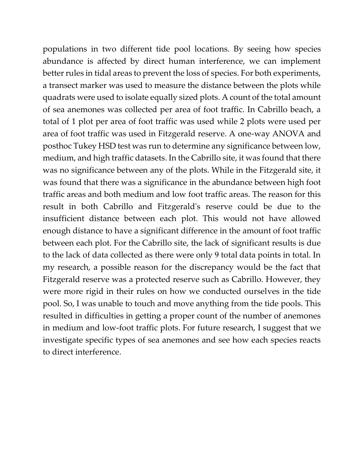populations in two different tide pool locations. By seeing how species abundance is affected by direct human interference, we can implement better rules in tidal areas to prevent the loss of species. For both experiments, a transect marker was used to measure the distance between the plots while quadrats were used to isolate equally sized plots. A count of the total amount of sea anemones was collected per area of foot traffic. In Cabrillo beach, a total of 1 plot per area of foot traffic was used while 2 plots were used per area of foot traffic was used in Fitzgerald reserve. A one-way ANOVA and posthoc Tukey HSD test was run to determine any significance between low, medium, and high traffic datasets. In the Cabrillo site, it was found that there was no significance between any of the plots. While in the Fitzgerald site, it was found that there was a significance in the abundance between high foot traffic areas and both medium and low foot traffic areas. The reason for this result in both Cabrillo and Fitzgerald's reserve could be due to the insufficient distance between each plot. This would not have allowed enough distance to have a significant difference in the amount of foot traffic between each plot. For the Cabrillo site, the lack of significant results is due to the lack of data collected as there were only 9 total data points in total. In my research, a possible reason for the discrepancy would be the fact that Fitzgerald reserve was a protected reserve such as Cabrillo. However, they were more rigid in their rules on how we conducted ourselves in the tide pool. So, I was unable to touch and move anything from the tide pools. This resulted in difficulties in getting a proper count of the number of anemones in medium and low-foot traffic plots. For future research, I suggest that we investigate specific types of sea anemones and see how each species reacts to direct interference.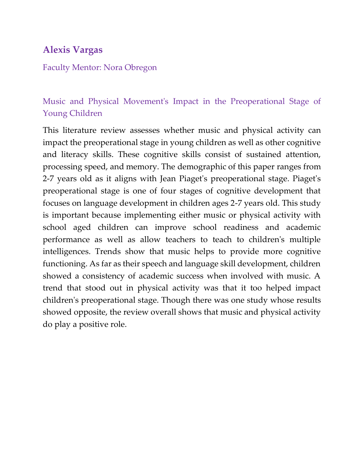# **Alexis Vargas**

#### Faculty Mentor: Nora Obregon

# Music and Physical Movement's Impact in the Preoperational Stage of Young Children

This literature review assesses whether music and physical activity can impact the preoperational stage in young children as well as other cognitive and literacy skills. These cognitive skills consist of sustained attention, processing speed, and memory. The demographic of this paper ranges from 2-7 years old as it aligns with Jean Piaget's preoperational stage. Piaget's preoperational stage is one of four stages of cognitive development that focuses on language development in children ages 2-7 years old. This study is important because implementing either music or physical activity with school aged children can improve school readiness and academic performance as well as allow teachers to teach to children's multiple intelligences. Trends show that music helps to provide more cognitive functioning. As far as their speech and language skill development, children showed a consistency of academic success when involved with music. A trend that stood out in physical activity was that it too helped impact children's preoperational stage. Though there was one study whose results showed opposite, the review overall shows that music and physical activity do play a positive role.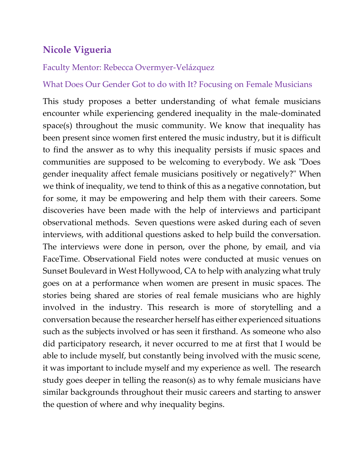# **Nicole Vigueria**

### Faculty Mentor: Rebecca Overmyer-Velázquez

### What Does Our Gender Got to do with It? Focusing on Female Musicians

This study proposes a better understanding of what female musicians encounter while experiencing gendered inequality in the male-dominated space(s) throughout the music community. We know that inequality has been present since women first entered the music industry, but it is difficult to find the answer as to why this inequality persists if music spaces and communities are supposed to be welcoming to everybody. We ask "Does gender inequality affect female musicians positively or negatively?" When we think of inequality, we tend to think of this as a negative connotation, but for some, it may be empowering and help them with their careers. Some discoveries have been made with the help of interviews and participant observational methods. Seven questions were asked during each of seven interviews, with additional questions asked to help build the conversation. The interviews were done in person, over the phone, by email, and via FaceTime. Observational Field notes were conducted at music venues on Sunset Boulevard in West Hollywood, CA to help with analyzing what truly goes on at a performance when women are present in music spaces. The stories being shared are stories of real female musicians who are highly involved in the industry. This research is more of storytelling and a conversation because the researcher herself has either experienced situations such as the subjects involved or has seen it firsthand. As someone who also did participatory research, it never occurred to me at first that I would be able to include myself, but constantly being involved with the music scene, it was important to include myself and my experience as well. The research study goes deeper in telling the reason(s) as to why female musicians have similar backgrounds throughout their music careers and starting to answer the question of where and why inequality begins.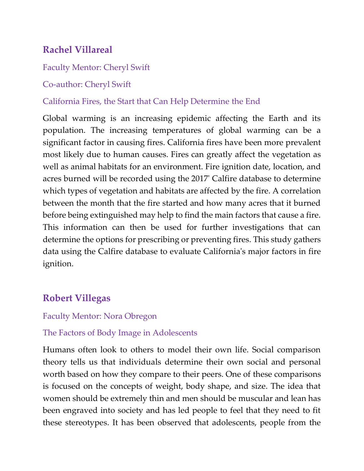# **Rachel Villareal**

### Faculty Mentor: Cheryl Swift

### Co-author: Cheryl Swift

### California Fires, the Start that Can Help Determine the End

Global warming is an increasing epidemic affecting the Earth and its population. The increasing temperatures of global warming can be a significant factor in causing fires. California fires have been more prevalent most likely due to human causes. Fires can greatly affect the vegetation as well as animal habitats for an environment. Fire ignition date, location, and acres burned will be recorded using the 2017' Calfire database to determine which types of vegetation and habitats are affected by the fire. A correlation between the month that the fire started and how many acres that it burned before being extinguished may help to find the main factors that cause a fire. This information can then be used for further investigations that can determine the options for prescribing or preventing fires. This study gathers data using the Calfire database to evaluate California's major factors in fire ignition.

# **Robert Villegas**

### Faculty Mentor: Nora Obregon

### The Factors of Body Image in Adolescents

Humans often look to others to model their own life. Social comparison theory tells us that individuals determine their own social and personal worth based on how they compare to their peers. One of these comparisons is focused on the concepts of weight, body shape, and size. The idea that women should be extremely thin and men should be muscular and lean has been engraved into society and has led people to feel that they need to fit these stereotypes. It has been observed that adolescents, people from the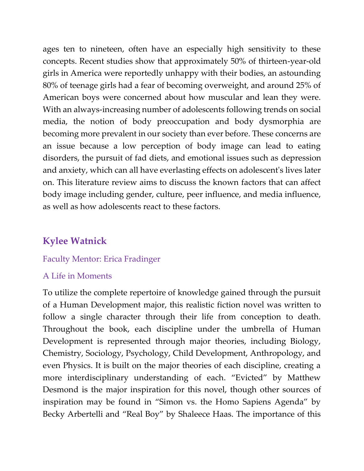ages ten to nineteen, often have an especially high sensitivity to these concepts. Recent studies show that approximately 50% of thirteen-year-old girls in America were reportedly unhappy with their bodies, an astounding 80% of teenage girls had a fear of becoming overweight, and around 25% of American boys were concerned about how muscular and lean they were. With an always-increasing number of adolescents following trends on social media, the notion of body preoccupation and body dysmorphia are becoming more prevalent in our society than ever before. These concerns are an issue because a low perception of body image can lead to eating disorders, the pursuit of fad diets, and emotional issues such as depression and anxiety, which can all have everlasting effects on adolescent's lives later on. This literature review aims to discuss the known factors that can affect body image including gender, culture, peer influence, and media influence, as well as how adolescents react to these factors.

# **Kylee Watnick**

### Faculty Mentor: Erica Fradinger

### A Life in Moments

To utilize the complete repertoire of knowledge gained through the pursuit of a Human Development major, this realistic fiction novel was written to follow a single character through their life from conception to death. Throughout the book, each discipline under the umbrella of Human Development is represented through major theories, including Biology, Chemistry, Sociology, Psychology, Child Development, Anthropology, and even Physics. It is built on the major theories of each discipline, creating a more interdisciplinary understanding of each. "Evicted" by Matthew Desmond is the major inspiration for this novel, though other sources of inspiration may be found in "Simon vs. the Homo Sapiens Agenda" by Becky Arbertelli and "Real Boy" by Shaleece Haas. The importance of this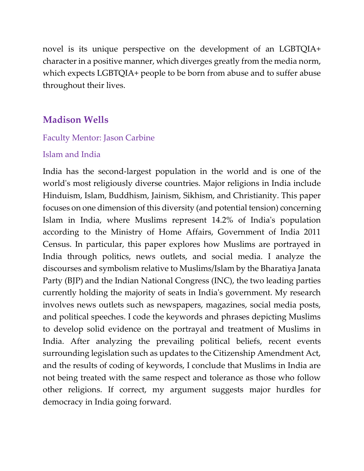novel is its unique perspective on the development of an LGBTQIA+ character in a positive manner, which diverges greatly from the media norm, which expects LGBTQIA+ people to be born from abuse and to suffer abuse throughout their lives.

## **Madison Wells**

#### Faculty Mentor: Jason Carbine

#### Islam and India

India has the second-largest population in the world and is one of the world's most religiously diverse countries. Major religions in India include Hinduism, Islam, Buddhism, Jainism, Sikhism, and Christianity. This paper focuses on one dimension of this diversity (and potential tension) concerning Islam in India, where Muslims represent 14.2% of India's population according to the Ministry of Home Affairs, Government of India 2011 Census. In particular, this paper explores how Muslims are portrayed in India through politics, news outlets, and social media. I analyze the discourses and symbolism relative to Muslims/Islam by the Bharatiya Janata Party (BJP) and the Indian National Congress (INC), the two leading parties currently holding the majority of seats in India's government. My research involves news outlets such as newspapers, magazines, social media posts, and political speeches. I code the keywords and phrases depicting Muslims to develop solid evidence on the portrayal and treatment of Muslims in India. After analyzing the prevailing political beliefs, recent events surrounding legislation such as updates to the Citizenship Amendment Act, and the results of coding of keywords, I conclude that Muslims in India are not being treated with the same respect and tolerance as those who follow other religions. If correct, my argument suggests major hurdles for democracy in India going forward.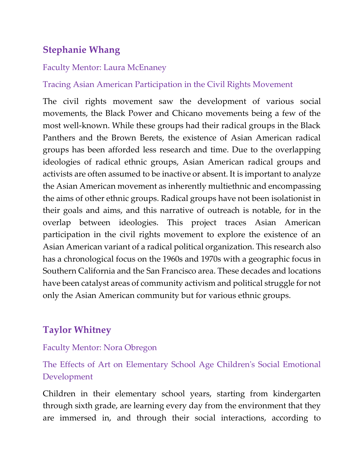# **Stephanie Whang**

#### Faculty Mentor: Laura McEnaney

### Tracing Asian American Participation in the Civil Rights Movement

The civil rights movement saw the development of various social movements, the Black Power and Chicano movements being a few of the most well-known. While these groups had their radical groups in the Black Panthers and the Brown Berets, the existence of Asian American radical groups has been afforded less research and time. Due to the overlapping ideologies of radical ethnic groups, Asian American radical groups and activists are often assumed to be inactive or absent. It is important to analyze the Asian American movement as inherently multiethnic and encompassing the aims of other ethnic groups. Radical groups have not been isolationist in their goals and aims, and this narrative of outreach is notable, for in the overlap between ideologies. This project traces Asian American participation in the civil rights movement to explore the existence of an Asian American variant of a radical political organization. This research also has a chronological focus on the 1960s and 1970s with a geographic focus in Southern California and the San Francisco area. These decades and locations have been catalyst areas of community activism and political struggle for not only the Asian American community but for various ethnic groups.

# **Taylor Whitney**

### Faculty Mentor: Nora Obregon

The Effects of Art on Elementary School Age Children's Social Emotional Development

Children in their elementary school years, starting from kindergarten through sixth grade, are learning every day from the environment that they are immersed in, and through their social interactions, according to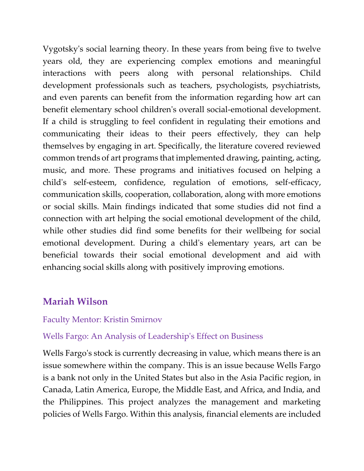Vygotsky's social learning theory. In these years from being five to twelve years old, they are experiencing complex emotions and meaningful interactions with peers along with personal relationships. Child development professionals such as teachers, psychologists, psychiatrists, and even parents can benefit from the information regarding how art can benefit elementary school children's overall social-emotional development. If a child is struggling to feel confident in regulating their emotions and communicating their ideas to their peers effectively, they can help themselves by engaging in art. Specifically, the literature covered reviewed common trends of art programs that implemented drawing, painting, acting, music, and more. These programs and initiatives focused on helping a child's self-esteem, confidence, regulation of emotions, self-efficacy, communication skills, cooperation, collaboration, along with more emotions or social skills. Main findings indicated that some studies did not find a connection with art helping the social emotional development of the child, while other studies did find some benefits for their wellbeing for social emotional development. During a child's elementary years, art can be beneficial towards their social emotional development and aid with enhancing social skills along with positively improving emotions.

## **Mariah Wilson**

### Faculty Mentor: Kristin Smirnov

### Wells Fargo: An Analysis of Leadership's Effect on Business

Wells Fargo's stock is currently decreasing in value, which means there is an issue somewhere within the company. This is an issue because Wells Fargo is a bank not only in the United States but also in the Asia Pacific region, in Canada, Latin America, Europe, the Middle East, and Africa, and India, and the Philippines. This project analyzes the management and marketing policies of Wells Fargo. Within this analysis, financial elements are included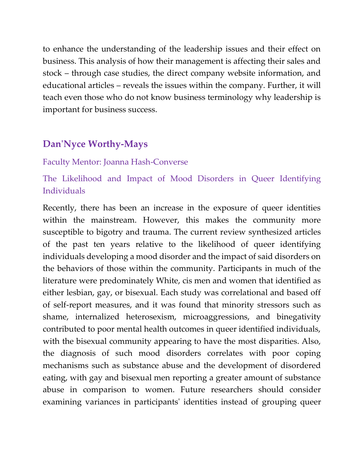to enhance the understanding of the leadership issues and their effect on business. This analysis of how their management is affecting their sales and stock – through case studies, the direct company website information, and educational articles – reveals the issues within the company. Further, it will teach even those who do not know business terminology why leadership is important for business success.

## **Dan'Nyce Worthy-Mays**

#### Faculty Mentor: Joanna Hash-Converse

### The Likelihood and Impact of Mood Disorders in Queer Identifying Individuals

Recently, there has been an increase in the exposure of queer identities within the mainstream. However, this makes the community more susceptible to bigotry and trauma. The current review synthesized articles of the past ten years relative to the likelihood of queer identifying individuals developing a mood disorder and the impact of said disorders on the behaviors of those within the community. Participants in much of the literature were predominately White, cis men and women that identified as either lesbian, gay, or bisexual. Each study was correlational and based off of self-report measures, and it was found that minority stressors such as shame, internalized heterosexism, microaggressions, and binegativity contributed to poor mental health outcomes in queer identified individuals, with the bisexual community appearing to have the most disparities. Also, the diagnosis of such mood disorders correlates with poor coping mechanisms such as substance abuse and the development of disordered eating, with gay and bisexual men reporting a greater amount of substance abuse in comparison to women. Future researchers should consider examining variances in participants' identities instead of grouping queer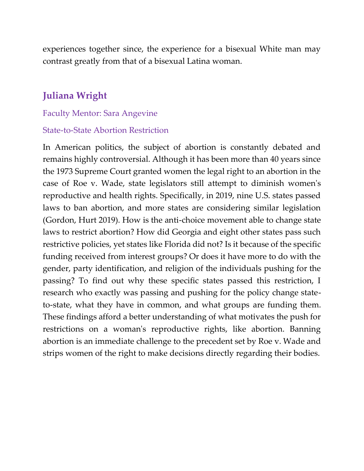experiences together since, the experience for a bisexual White man may contrast greatly from that of a bisexual Latina woman.

## **Juliana Wright**

#### Faculty Mentor: Sara Angevine

#### State-to-State Abortion Restriction

In American politics, the subject of abortion is constantly debated and remains highly controversial. Although it has been more than 40 years since the 1973 Supreme Court granted women the legal right to an abortion in the case of Roe v. Wade, state legislators still attempt to diminish women's reproductive and health rights. Specifically, in 2019, nine U.S. states passed laws to ban abortion, and more states are considering similar legislation (Gordon, Hurt 2019). How is the anti-choice movement able to change state laws to restrict abortion? How did Georgia and eight other states pass such restrictive policies, yet states like Florida did not? Is it because of the specific funding received from interest groups? Or does it have more to do with the gender, party identification, and religion of the individuals pushing for the passing? To find out why these specific states passed this restriction, I research who exactly was passing and pushing for the policy change stateto-state, what they have in common, and what groups are funding them. These findings afford a better understanding of what motivates the push for restrictions on a woman's reproductive rights, like abortion. Banning abortion is an immediate challenge to the precedent set by Roe v. Wade and strips women of the right to make decisions directly regarding their bodies.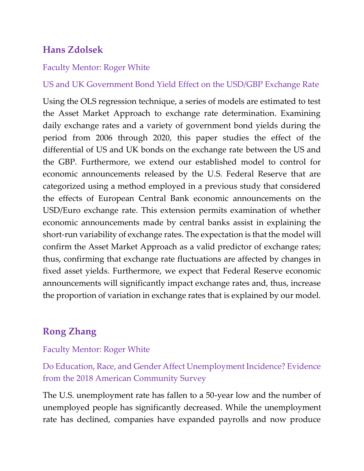# **Hans Zdolsek**

#### Faculty Mentor: Roger White

US and UK Government Bond Yield Effect on the USD/GBP Exchange Rate

Using the OLS regression technique, a series of models are estimated to test the Asset Market Approach to exchange rate determination. Examining daily exchange rates and a variety of government bond yields during the period from 2006 through 2020, this paper studies the effect of the differential of US and UK bonds on the exchange rate between the US and the GBP. Furthermore, we extend our established model to control for economic announcements released by the U.S. Federal Reserve that are categorized using a method employed in a previous study that considered the effects of European Central Bank economic announcements on the USD/Euro exchange rate. This extension permits examination of whether economic announcements made by central banks assist in explaining the short-run variability of exchange rates. The expectation is that the model will confirm the Asset Market Approach as a valid predictor of exchange rates; thus, confirming that exchange rate fluctuations are affected by changes in fixed asset yields. Furthermore, we expect that Federal Reserve economic announcements will significantly impact exchange rates and, thus, increase the proportion of variation in exchange rates that is explained by our model.

# **Rong Zhang**

### Faculty Mentor: Roger White

Do Education, Race, and Gender Affect Unemployment Incidence? Evidence from the 2018 American Community Survey

The U.S. unemployment rate has fallen to a 50-year low and the number of unemployed people has significantly decreased. While the unemployment rate has declined, companies have expanded payrolls and now produce